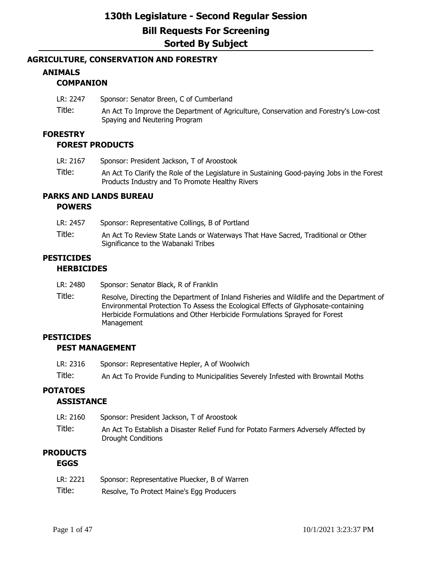### **AGRICULTURE, CONSERVATION AND FORESTRY**

## **ANIMALS**

## **COMPANION**

- LR: 2247 Sponsor: Senator Breen, C of Cumberland
- Title: An Act To Improve the Department of Agriculture, Conservation and Forestry's Low-cost Spaying and Neutering Program

### **FORESTRY**

### **FOREST PRODUCTS**

- LR: 2167 Sponsor: President Jackson, T of Aroostook
- Title: An Act To Clarify the Role of the Legislature in Sustaining Good-paying Jobs in the Forest Products Industry and To Promote Healthy Rivers

# **PARKS AND LANDS BUREAU**

### **POWERS**

| LR: 2457 | Sponsor: Representative Collings, B of Portland                                                                         |
|----------|-------------------------------------------------------------------------------------------------------------------------|
| Title:   | An Act To Review State Lands or Waterways That Have Sacred, Traditional or Other<br>Significance to the Wabanaki Tribes |
|          |                                                                                                                         |

#### **PESTICIDES HERBICIDES**

- LR: 2480 Sponsor: Senator Black, R of Franklin
- Title: Resolve, Directing the Department of Inland Fisheries and Wildlife and the Department of Environmental Protection To Assess the Ecological Effects of Glyphosate-containing Herbicide Formulations and Other Herbicide Formulations Sprayed for Forest Management

## **PESTICIDES**

### **PEST MANAGEMENT**

- LR: 2316 Sponsor: Representative Hepler, A of Woolwich
- Title: An Act To Provide Funding to Municipalities Severely Infested with Browntail Moths

## **POTATOES**

### **ASSISTANCE**

LR: 2160 Sponsor: President Jackson, T of Aroostook Title: An Act To Establish a Disaster Relief Fund for Potato Farmers Adversely Affected by Drought Conditions

## **PRODUCTS EGGS**

| LR: 2221 | Sponsor: Representative Pluecker, B of Warren |  |
|----------|-----------------------------------------------|--|
|          |                                               |  |

Title: Resolve, To Protect Maine's Egg Producers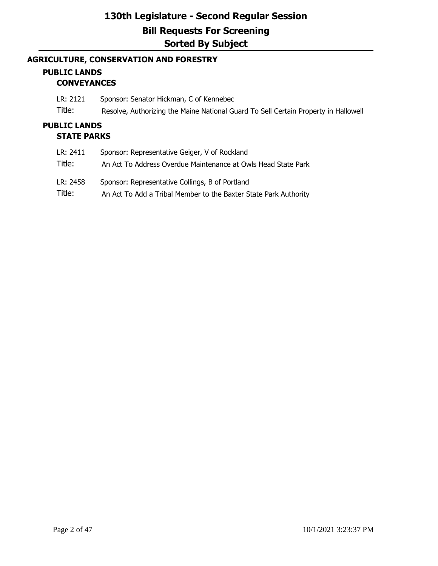## **AGRICULTURE, CONSERVATION AND FORESTRY**

## **PUBLIC LANDS CONVEYANCES**

LR: 2121 Sponsor: Senator Hickman, C of Kennebec

Title: Resolve, Authorizing the Maine National Guard To Sell Certain Property in Hallowell

## **PUBLIC LANDS STATE PARKS**

| LR: 2411 | Sponsor: Representative Geiger, V of Rockland                    |
|----------|------------------------------------------------------------------|
| Title:   | An Act To Address Overdue Maintenance at Owls Head State Park    |
| LR: 2458 | Sponsor: Representative Collings, B of Portland                  |
| Title:   | An Act To Add a Tribal Member to the Baxter State Park Authority |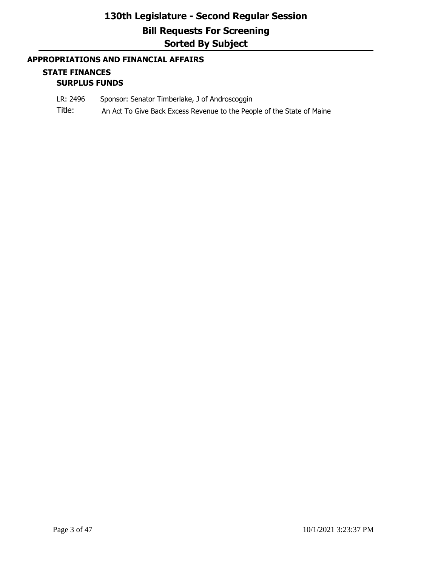## **APPROPRIATIONS AND FINANCIAL AFFAIRS**

### **STATE FINANCES SURPLUS FUNDS**

- LR: 2496 Sponsor: Senator Timberlake, J of Androscoggin
- Title: An Act To Give Back Excess Revenue to the People of the State of Maine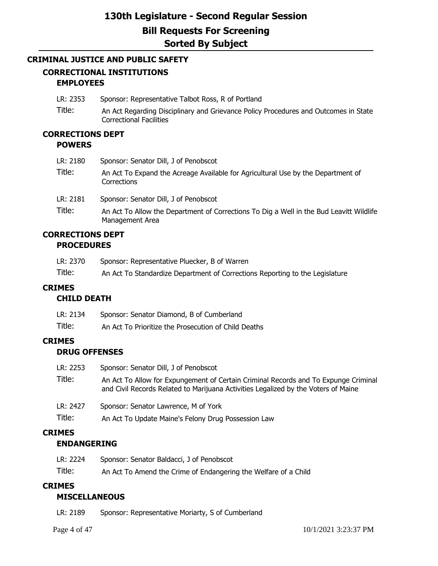### **CRIMINAL JUSTICE AND PUBLIC SAFETY**

## **CORRECTIONAL INSTITUTIONS EMPLOYEES**

- LR: 2353 Sponsor: Representative Talbot Ross, R of Portland
- Title: An Act Regarding Disciplinary and Grievance Policy Procedures and Outcomes in State Correctional Facilities

### **CORRECTIONS DEPT POWERS**

| LR: 2180 | Sponsor: Senator Dill, J of Penobscot                                                                      |
|----------|------------------------------------------------------------------------------------------------------------|
| Title:   | An Act To Expand the Acreage Available for Agricultural Use by the Department of<br>Corrections            |
| LR: 2181 | Sponsor: Senator Dill, J of Penobscot                                                                      |
| Title:   | An Act To Allow the Department of Corrections To Dig a Well in the Bud Leavitt Wildlife<br>Management Area |

### **CORRECTIONS DEPT PROCEDURES**

| LR: 2370 | Sponsor: Representative Pluecker, B of Warren                                |
|----------|------------------------------------------------------------------------------|
| Title:   | An Act To Standardize Department of Corrections Reporting to the Legislature |

## **CRIMES**

## **CHILD DEATH**

| LR: 2134 | Sponsor: Senator Diamond, B of Cumberland            |
|----------|------------------------------------------------------|
| Title:   | An Act To Prioritize the Prosecution of Child Deaths |

## **CRIMES**

## **DRUG OFFENSES**

| LR: 2253 | Sponsor: Senator Dill, J of Penobscot                                                                                                                                     |
|----------|---------------------------------------------------------------------------------------------------------------------------------------------------------------------------|
| Title:   | An Act To Allow for Expungement of Certain Criminal Records and To Expunge Criminal<br>and Civil Records Related to Marijuana Activities Legalized by the Voters of Maine |
| LR: 2427 | Sponsor: Senator Lawrence, M of York                                                                                                                                      |
| Title:   | An Act To Update Maine's Felony Drug Possession Law                                                                                                                       |

## **CRIMES**

## **ENDANGERING**

| LR: 2224 | Sponsor: Senator Baldacci, J of Penobscot                       |
|----------|-----------------------------------------------------------------|
| Title:   | An Act To Amend the Crime of Endangering the Welfare of a Child |

### **CRIMES**

## **MISCELLANEOUS**

| LR: 2189 | Sponsor: Representative Moriarty, S of Cumberland |
|----------|---------------------------------------------------|
|----------|---------------------------------------------------|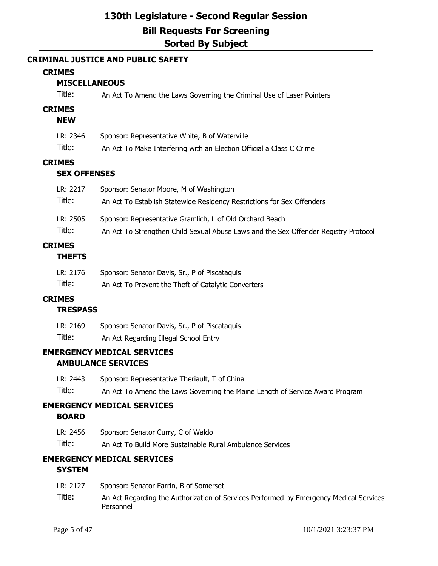## **CRIMINAL JUSTICE AND PUBLIC SAFETY**

### **CRIMES**

## **MISCELLANEOUS**

| Title: | An Act To Amend the Laws Governing the Criminal Use of Laser Pointers |
|--------|-----------------------------------------------------------------------|
|--------|-----------------------------------------------------------------------|

### **CRIMES**

### **NEW**

| LR: 2346 | Sponsor: Representative White, B of Waterville                       |
|----------|----------------------------------------------------------------------|
| Title:   | An Act To Make Interfering with an Election Official a Class C Crime |

## **CRIMES**

## **SEX OFFENSES**

| LR: 2217 | Sponsor: Senator Moore, M of Washington                                             |
|----------|-------------------------------------------------------------------------------------|
| Title:   | An Act To Establish Statewide Residency Restrictions for Sex Offenders              |
| LR: 2505 | Sponsor: Representative Gramlich, L of Old Orchard Beach                            |
| Title:   | An Act To Strengthen Child Sexual Abuse Laws and the Sex Offender Registry Protocol |
|          |                                                                                     |

# **CRIMES**

## **THEFTS**

| LR: 2176 | Sponsor: Senator Davis, Sr., P of Piscataquis       |
|----------|-----------------------------------------------------|
| Title:   | An Act To Prevent the Theft of Catalytic Converters |

## **CRIMES**

## **TRESPASS**

| LR: 2169 | Sponsor: Senator Davis, Sr., P of Piscataquis |
|----------|-----------------------------------------------|
| Title:   | An Act Regarding Illegal School Entry         |

## **EMERGENCY MEDICAL SERVICES AMBULANCE SERVICES**

| LR: 2443 | Sponsor: Representative Theriault, T of China                                |
|----------|------------------------------------------------------------------------------|
| Title:   | An Act To Amend the Laws Governing the Maine Length of Service Award Program |

### **EMERGENCY MEDICAL SERVICES BOARD**

| LR: 2456 | Sponsor: Senator Curry, C of Waldo                        |
|----------|-----------------------------------------------------------|
| Title:   | An Act To Build More Sustainable Rural Ambulance Services |

## **EMERGENCY MEDICAL SERVICES**

## **SYSTEM**

- LR: 2127 Sponsor: Senator Farrin, B of Somerset
- Title: An Act Regarding the Authorization of Services Performed by Emergency Medical Services Personnel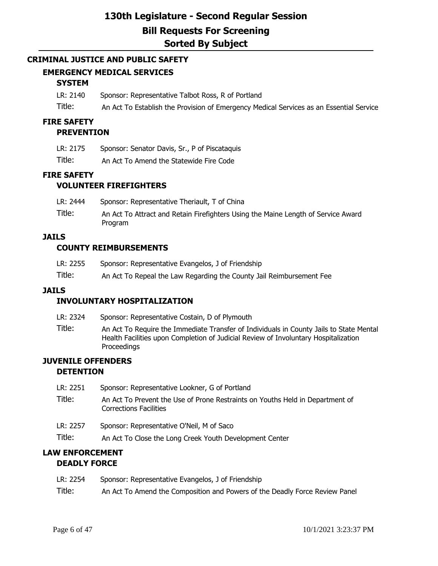### **CRIMINAL JUSTICE AND PUBLIC SAFETY**

### **EMERGENCY MEDICAL SERVICES**

### **SYSTEM**

- LR: 2140 Sponsor: Representative Talbot Ross, R of Portland
- Title: An Act To Establish the Provision of Emergency Medical Services as an Essential Service

### **FIRE SAFETY**

#### **PREVENTION**

| LR: 2175 | Sponsor: Senator Davis, Sr., P of Piscataquis |
|----------|-----------------------------------------------|
|----------|-----------------------------------------------|

Title: An Act To Amend the Statewide Fire Code

### **FIRE SAFETY**

### **VOLUNTEER FIREFIGHTERS**

| LR: 2444 | Sponsor: Representative Theriault, T of China                                                       |
|----------|-----------------------------------------------------------------------------------------------------|
| Title:   | An Act To Attract and Retain Firefighters Using the Maine Length of Service Award<br><b>Program</b> |

### **JAILS**

### **COUNTY REIMBURSEMENTS**

| LR: 2255 | Sponsor: Representative Evangelos, J of Friendship                   |
|----------|----------------------------------------------------------------------|
| Title:   | An Act To Repeal the Law Regarding the County Jail Reimbursement Fee |

#### **JAILS**

### **INVOLUNTARY HOSPITALIZATION**

- LR: 2324 Sponsor: Representative Costain, D of Plymouth
- Title: An Act To Require the Immediate Transfer of Individuals in County Jails to State Mental Health Facilities upon Completion of Judicial Review of Involuntary Hospitalization Proceedings

### **JUVENILE OFFENDERS DETENTION**

| LR: 2251 | Sponsor: Representative Lookner, G of Portland |  |
|----------|------------------------------------------------|--|
|----------|------------------------------------------------|--|

- Title: An Act To Prevent the Use of Prone Restraints on Youths Held in Department of Corrections Facilities
- LR: 2257 Sponsor: Representative O'Neil, M of Saco
- Title: An Act To Close the Long Creek Youth Development Center

## **LAW ENFORCEMENT DEADLY FORCE**

| LR: 2254 | Sponsor: Representative Evangelos, J of Friendship                          |
|----------|-----------------------------------------------------------------------------|
| Title:   | An Act To Amend the Composition and Powers of the Deadly Force Review Panel |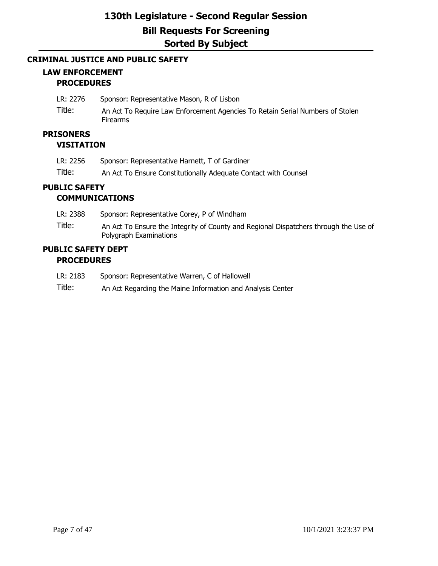### **CRIMINAL JUSTICE AND PUBLIC SAFETY**

## **LAW ENFORCEMENT PROCEDURES**

- LR: 2276 Sponsor: Representative Mason, R of Lisbon
- Title: An Act To Require Law Enforcement Agencies To Retain Serial Numbers of Stolen Firearms

## **PRISONERS**

### **VISITATION**

| LR: 2256 | Sponsor: Representative Harnett, T of Gardiner                  |
|----------|-----------------------------------------------------------------|
| Title:   | An Act To Ensure Constitutionally Adequate Contact with Counsel |

### **PUBLIC SAFETY COMMUNICATIONS**

| LR: 2388 | Sponsor: Representative Corey, P of Windham                                                                    |
|----------|----------------------------------------------------------------------------------------------------------------|
| Title:   | An Act To Ensure the Integrity of County and Regional Dispatchers through the Use of<br>Polygraph Examinations |

### **PUBLIC SAFETY DEPT PROCEDURES**

- LR: 2183 Sponsor: Representative Warren, C of Hallowell
- Title: An Act Regarding the Maine Information and Analysis Center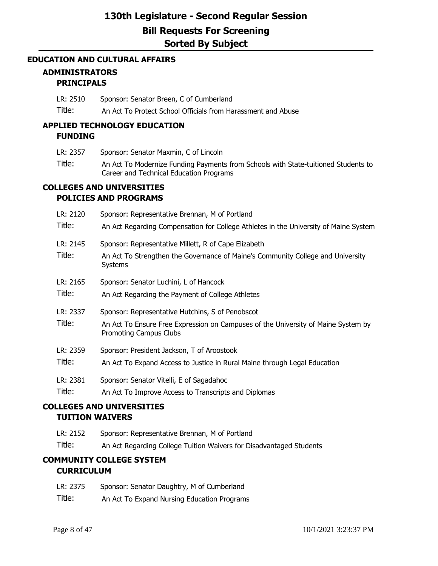### **EDUCATION AND CULTURAL AFFAIRS**

### **ADMINISTRATORS PRINCIPALS**

LR: 2510 Sponsor: Senator Breen, C of Cumberland

Title: An Act To Protect School Officials from Harassment and Abuse

## **APPLIED TECHNOLOGY EDUCATION FUNDING**

- LR: 2357 Sponsor: Senator Maxmin, C of Lincoln
- Title: An Act To Modernize Funding Payments from Schools with State-tuitioned Students to Career and Technical Education Programs

### **COLLEGES AND UNIVERSITIES POLICIES AND PROGRAMS**

| LR: 2120<br>Title: | Sponsor: Representative Brennan, M of Portland<br>An Act Regarding Compensation for College Athletes in the University of Maine System |
|--------------------|----------------------------------------------------------------------------------------------------------------------------------------|
| LR: 2145           | Sponsor: Representative Millett, R of Cape Elizabeth                                                                                   |
| Title:             | An Act To Strengthen the Governance of Maine's Community College and University<br>Systems                                             |
| LR: 2165           | Sponsor: Senator Luchini, L of Hancock                                                                                                 |
| Title:             | An Act Regarding the Payment of College Athletes                                                                                       |
| LR: 2337           | Sponsor: Representative Hutchins, S of Penobscot                                                                                       |
| Title:             | An Act To Ensure Free Expression on Campuses of the University of Maine System by<br>Promoting Campus Clubs                            |
| LR: 2359           | Sponsor: President Jackson, T of Aroostook                                                                                             |
| Title:             | An Act To Expand Access to Justice in Rural Maine through Legal Education                                                              |
| LR: 2381           | Sponsor: Senator Vitelli, E of Sagadahoc                                                                                               |
| Title:             | An Act To Improve Access to Transcripts and Diplomas                                                                                   |

## **COLLEGES AND UNIVERSITIES TUITION WAIVERS**

- LR: 2152 Sponsor: Representative Brennan, M of Portland
- Title: An Act Regarding College Tuition Waivers for Disadvantaged Students

## **COMMUNITY COLLEGE SYSTEM CURRICULUM**

- LR: 2375 Sponsor: Senator Daughtry, M of Cumberland
- Title: An Act To Expand Nursing Education Programs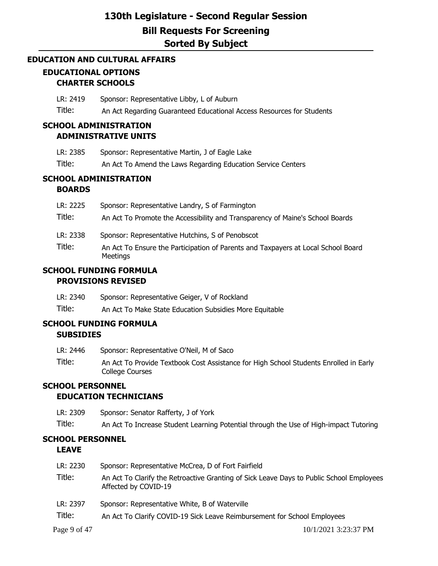## **EDUCATION AND CULTURAL AFFAIRS EDUCATIONAL OPTIONS CHARTER SCHOOLS**

LR: 2419 Sponsor: Representative Libby, L of Auburn Title: An Act Regarding Guaranteed Educational Access Resources for Students

## **SCHOOL ADMINISTRATION ADMINISTRATIVE UNITS**

- LR: 2385 Sponsor: Representative Martin, J of Eagle Lake
- Title: An Act To Amend the Laws Regarding Education Service Centers

## **SCHOOL ADMINISTRATION**

## **BOARDS**

| LR: 2225           | Sponsor: Representative Landry, S of Farmington                                                                                                   |
|--------------------|---------------------------------------------------------------------------------------------------------------------------------------------------|
| Title:             | An Act To Promote the Accessibility and Transparency of Maine's School Boards                                                                     |
| LR: 2338<br>Title: | Sponsor: Representative Hutchins, S of Penobscot<br>An Act To Ensure the Participation of Parents and Taxpayers at Local School Board<br>Meetings |

## **SCHOOL FUNDING FORMULA PROVISIONS REVISED**

LR: 2340 Sponsor: Representative Geiger, V of Rockland

Title: An Act To Make State Education Subsidies More Equitable

## **SCHOOL FUNDING FORMULA SUBSIDIES**

- LR: 2446 Sponsor: Representative O'Neil, M of Saco
- Title: An Act To Provide Textbook Cost Assistance for High School Students Enrolled in Early College Courses

## **SCHOOL PERSONNEL**

### **EDUCATION TECHNICIANS**

- LR: 2309 Sponsor: Senator Rafferty, J of York
- Title: An Act To Increase Student Learning Potential through the Use of High-impact Tutoring

### **SCHOOL PERSONNEL LEAVE**

| LR: 2230 | Sponsor: Representative McCrea, D of Fort Fairfield                                                              |
|----------|------------------------------------------------------------------------------------------------------------------|
| Title:   | An Act To Clarify the Retroactive Granting of Sick Leave Days to Public School Employees<br>Affected by COVID-19 |
| LR: 2397 | Sponsor: Representative White, B of Waterville                                                                   |
| Title:   | An Act To Clarify COVID-19 Sick Leave Reimbursement for School Employees                                         |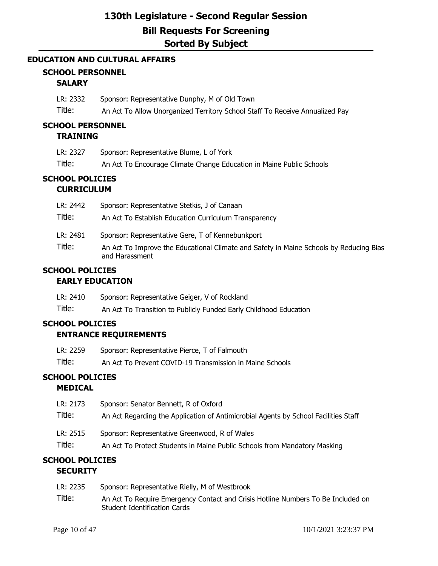### **EDUCATION AND CULTURAL AFFAIRS**

## **SCHOOL PERSONNEL**

## **SALARY**

LR: 2332 Sponsor: Representative Dunphy, M of Old Town

Title: An Act To Allow Unorganized Territory School Staff To Receive Annualized Pay

## **SCHOOL PERSONNEL**

## **TRAINING**

| LR: 2327 | Sponsor: Representative Blume, L of York                             |
|----------|----------------------------------------------------------------------|
| Title:   | An Act To Encourage Climate Change Education in Maine Public Schools |

## **SCHOOL POLICIES CURRICULUM**

| LR: 2442           | Sponsor: Representative Stetkis, J of Canaan                                                                                                                 |
|--------------------|--------------------------------------------------------------------------------------------------------------------------------------------------------------|
| Title:             | An Act To Establish Education Curriculum Transparency                                                                                                        |
| LR: 2481<br>Title: | Sponsor: Representative Gere, T of Kennebunkport<br>An Act To Improve the Educational Climate and Safety in Maine Schools by Reducing Bias<br>and Harassment |

### **SCHOOL POLICIES EARLY EDUCATION**

| LR: 2410 | Sponsor: Representative Geiger, V of Rockland                     |
|----------|-------------------------------------------------------------------|
| Title:   | An Act To Transition to Publicly Funded Early Childhood Education |

# **SCHOOL POLICIES**

## **ENTRANCE REQUIREMENTS**

| LR: 2259 | Sponsor: Representative Pierce, T of Falmouth            |
|----------|----------------------------------------------------------|
| Title:   | An Act To Prevent COVID-19 Transmission in Maine Schools |

## **SCHOOL POLICIES**

## **MEDICAL**

| LR: 2173 | Sponsor: Senator Bennett, R of Oxford                                               |
|----------|-------------------------------------------------------------------------------------|
| Title:   | An Act Regarding the Application of Antimicrobial Agents by School Facilities Staff |
| LR: 2515 | Sponsor: Representative Greenwood, R of Wales                                       |
| Title:   | An Act To Protect Students in Maine Public Schools from Mandatory Masking           |

### **SCHOOL POLICIES SECURITY**

| LR: 2235 | Sponsor: Representative Rielly, M of Westbrook                                                                   |
|----------|------------------------------------------------------------------------------------------------------------------|
| Title:   | An Act To Require Emergency Contact and Crisis Hotline Numbers To Be Included on<br>Student Identification Cards |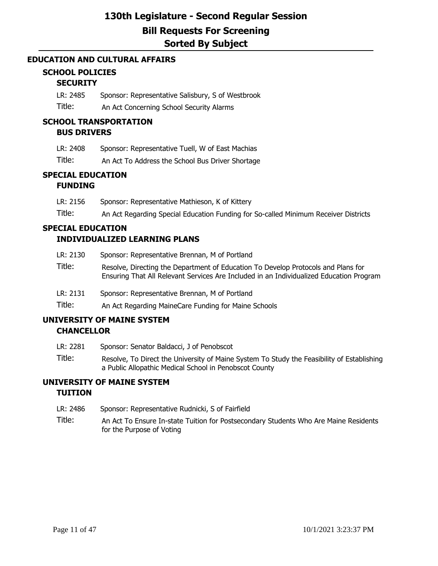### **EDUCATION AND CULTURAL AFFAIRS**

## **SCHOOL POLICIES**

## **SECURITY**

LR: 2485 Sponsor: Representative Salisbury, S of Westbrook

Title: An Act Concerning School Security Alarms

#### **SCHOOL TRANSPORTATION BUS DRIVERS**

| LR: 2408 | Sponsor: Representative Tuell, W of East Machias |  |
|----------|--------------------------------------------------|--|
|          |                                                  |  |

Title: An Act To Address the School Bus Driver Shortage

## **SPECIAL EDUCATION**

## **FUNDING**

| LR: 2156 | Sponsor: Representative Mathieson, K of Kittery |  |
|----------|-------------------------------------------------|--|
|          |                                                 |  |

Title: An Act Regarding Special Education Funding for So-called Minimum Receiver Districts

#### **SPECIAL EDUCATION INDIVIDUALIZED LEARNING PLANS**

- LR: 2130 Sponsor: Representative Brennan, M of Portland Title: Resolve, Directing the Department of Education To Develop Protocols and Plans for Ensuring That All Relevant Services Are Included in an Individualized Education Program
- LR: 2131 Sponsor: Representative Brennan, M of Portland
- Title: An Act Regarding MaineCare Funding for Maine Schools

### **UNIVERSITY OF MAINE SYSTEM CHANCELLOR**

- LR: 2281 Sponsor: Senator Baldacci, J of Penobscot
	- Title: Resolve, To Direct the University of Maine System To Study the Feasibility of Establishing a Public Allopathic Medical School in Penobscot County

## **UNIVERSITY OF MAINE SYSTEM TUITION**

- LR: 2486 Sponsor: Representative Rudnicki, S of Fairfield
- Title: An Act To Ensure In-state Tuition for Postsecondary Students Who Are Maine Residents for the Purpose of Voting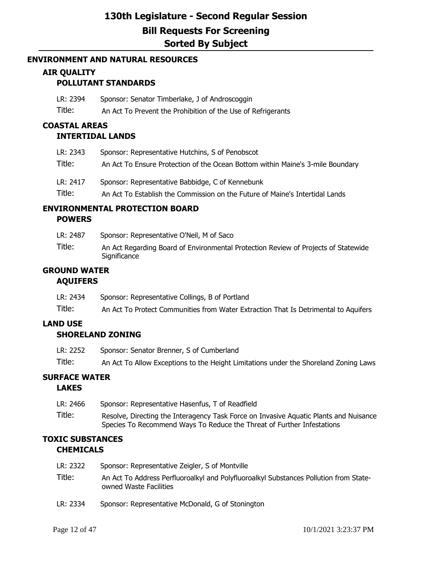### **ENVIRONMENT AND NATURAL RESOURCES**

## **AIR QUALITY**

## **POLLUTANT STANDARDS**

| LR: 2394 | Sponsor: Senator Timberlake, J of Androscoggin               |
|----------|--------------------------------------------------------------|
| Title:   | An Act To Prevent the Prohibition of the Use of Refrigerants |

## **COASTAL AREAS**

### **INTERTIDAL LANDS**

| LR: 2343 | Sponsor: Representative Hutchins, S of Penobscot                               |
|----------|--------------------------------------------------------------------------------|
| Title:   | An Act To Ensure Protection of the Ocean Bottom within Maine's 3-mile Boundary |
| LR: 2417 | Sponsor: Representative Babbidge, C of Kennebunk                               |
| Title:   | An Act To Establish the Commission on the Future of Maine's Intertidal Lands   |

### **ENVIRONMENTAL PROTECTION BOARD POWERS**

LR: 2487 Sponsor: Representative O'Neil, M of Saco Title: An Act Regarding Board of Environmental Protection Review of Projects of Statewide **Significance** 

## **GROUND WATER AQUIFERS**

| LR: 2434 | Sponsor: Representative Collings, B of Portland                                     |
|----------|-------------------------------------------------------------------------------------|
| Title:   | An Act To Protect Communities from Water Extraction That Is Detrimental to Aquifers |

## **LAND USE**

### **SHORELAND ZONING**

| LR: 2252 | Sponsor: Senator Brenner, S of Cumberland                                            |
|----------|--------------------------------------------------------------------------------------|
| Title:   | An Act To Allow Exceptions to the Height Limitations under the Shoreland Zoning Laws |

## **SURFACE WATER**

### **LAKES**

LR: 2466 Sponsor: Representative Hasenfus, T of Readfield Title: Resolve, Directing the Interagency Task Force on Invasive Aquatic Plants and Nuisance Species To Recommend Ways To Reduce the Threat of Further Infestations

## **TOXIC SUBSTANCES CHEMICALS**

| LR: 2322 | Sponsor: Representative Zeigler, S of Montville                                                                 |
|----------|-----------------------------------------------------------------------------------------------------------------|
| Title:   | An Act To Address Perfluoroalkyl and Polyfluoroalkyl Substances Pollution from State-<br>owned Waste Facilities |
| LR: 2334 | Sponsor: Representative McDonald, G of Stonington                                                               |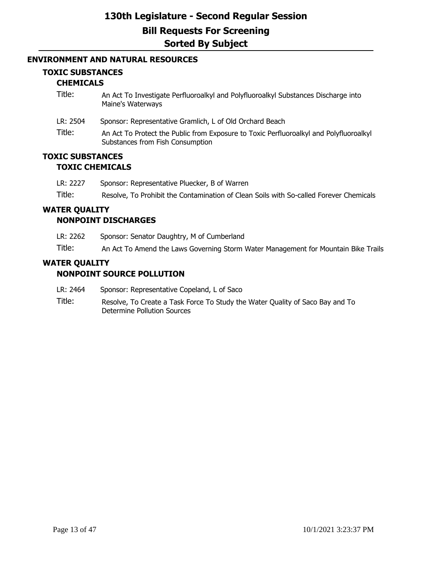### **ENVIRONMENT AND NATURAL RESOURCES**

### **TOXIC SUBSTANCES**

### **CHEMICALS**

- Title: An Act To Investigate Perfluoroalkyl and Polyfluoroalkyl Substances Discharge into Maine's Waterways
- LR: 2504 Sponsor: Representative Gramlich, L of Old Orchard Beach
- Title: An Act To Protect the Public from Exposure to Toxic Perfluoroalkyl and Polyfluoroalkyl Substances from Fish Consumption

### **TOXIC SUBSTANCES TOXIC CHEMICALS**

| LR: 2227 | Sponsor: Representative Pluecker, B of Warren                                          |
|----------|----------------------------------------------------------------------------------------|
| Title:   | Resolve, To Prohibit the Contamination of Clean Soils with So-called Forever Chemicals |

# **WATER QUALITY**

## **NONPOINT DISCHARGES**

LR: 2262 Sponsor: Senator Daughtry, M of Cumberland

Title: An Act To Amend the Laws Governing Storm Water Management for Mountain Bike Trails

## **WATER QUALITY**

### **NONPOINT SOURCE POLLUTION**

- LR: 2464 Sponsor: Representative Copeland, L of Saco
- Title: Resolve, To Create a Task Force To Study the Water Quality of Saco Bay and To Determine Pollution Sources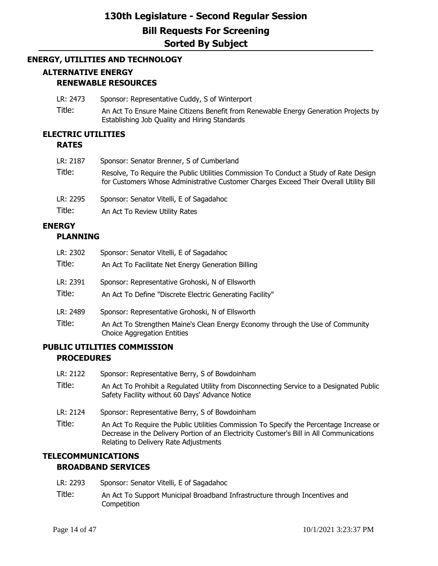### **ENERGY, UTILITIES AND TECHNOLOGY**

## **ALTERNATIVE ENERGY RENEWABLE RESOURCES**

- LR: 2473 Sponsor: Representative Cuddy, S of Winterport
- Title: An Act To Ensure Maine Citizens Benefit from Renewable Energy Generation Projects by Establishing Job Quality and Hiring Standards

#### **ELECTRIC UTILITIES RATES**

| LR: 2187<br>Title: | Sponsor: Senator Brenner, S of Cumberland<br>Resolve, To Require the Public Utilities Commission To Conduct a Study of Rate Design |
|--------------------|------------------------------------------------------------------------------------------------------------------------------------|
|                    | for Customers Whose Administrative Customer Charges Exceed Their Overall Utility Bill                                              |
| LR: 2295           | Sponsor: Senator Vitelli, E of Sagadahoc                                                                                           |
| Title:             | An Act To Review Utility Rates                                                                                                     |

### **ENERGY**

### **PLANNING**

| LR: 2302 | Sponsor: Senator Vitelli, E of Sagadahoc                                                                             |
|----------|----------------------------------------------------------------------------------------------------------------------|
| Title:   | An Act To Facilitate Net Energy Generation Billing                                                                   |
| LR: 2391 | Sponsor: Representative Grohoski, N of Ellsworth                                                                     |
| Title:   | An Act To Define "Discrete Electric Generating Facility"                                                             |
| LR: 2489 | Sponsor: Representative Grohoski, N of Ellsworth                                                                     |
| Title:   | An Act To Strengthen Maine's Clean Energy Economy through the Use of Community<br><b>Choice Aggregation Entities</b> |

### **PUBLIC UTILITIES COMMISSION PROCEDURES**

- LR: 2122 Sponsor: Representative Berry, S of Bowdoinham
- Title: An Act To Prohibit a Regulated Utility from Disconnecting Service to a Designated Public Safety Facility without 60 Days' Advance Notice
- LR: 2124 Sponsor: Representative Berry, S of Bowdoinham
- Title: An Act To Require the Public Utilities Commission To Specify the Percentage Increase or Decrease in the Delivery Portion of an Electricity Customer's Bill in All Communications Relating to Delivery Rate Adjustments

### **TELECOMMUNICATIONS BROADBAND SERVICES**

- LR: 2293 Sponsor: Senator Vitelli, E of Sagadahoc
- Title: An Act To Support Municipal Broadband Infrastructure through Incentives and **Competition**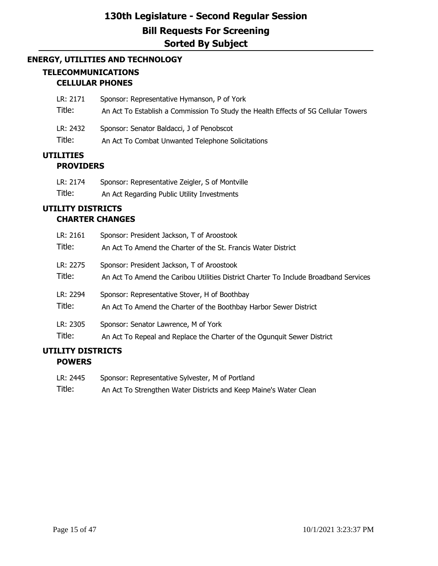## **ENERGY, UTILITIES AND TECHNOLOGY TELECOMMUNICATIONS CELLULAR PHONES**

| LR: 2171           | Sponsor: Representative Hymanson, P of York                                                    |
|--------------------|------------------------------------------------------------------------------------------------|
| Title:             | An Act To Establish a Commission To Study the Health Effects of 5G Cellular Towers             |
| LR: 2432<br>Title: | Sponsor: Senator Baldacci, J of Penobscot<br>An Act To Combat Unwanted Telephone Solicitations |
|                    |                                                                                                |

## **UTILITIES PROVIDERS**

| LR: 2174 | Sponsor: Representative Zeigler, S of Montville |
|----------|-------------------------------------------------|
| Title:   | An Act Regarding Public Utility Investments     |

## **UTILITY DISTRICTS CHARTER CHANGES**

| LR: 2161 | Sponsor: President Jackson, T of Aroostook                                           |
|----------|--------------------------------------------------------------------------------------|
| Title:   | An Act To Amend the Charter of the St. Francis Water District                        |
| LR: 2275 | Sponsor: President Jackson, T of Aroostook                                           |
| Title:   | An Act To Amend the Caribou Utilities District Charter To Include Broadband Services |
| LR: 2294 | Sponsor: Representative Stover, H of Boothbay                                        |
| Title:   | An Act To Amend the Charter of the Boothbay Harbor Sewer District                    |
| LR: 2305 | Sponsor: Senator Lawrence, M of York                                                 |
| Title:   | An Act To Repeal and Replace the Charter of the Ogunguit Sewer District              |

## **UTILITY DISTRICTS POWERS**

| LR: 2445 | Sponsor: Representative Sylvester, M of Portland                  |
|----------|-------------------------------------------------------------------|
| Title:   | An Act To Strengthen Water Districts and Keep Maine's Water Clean |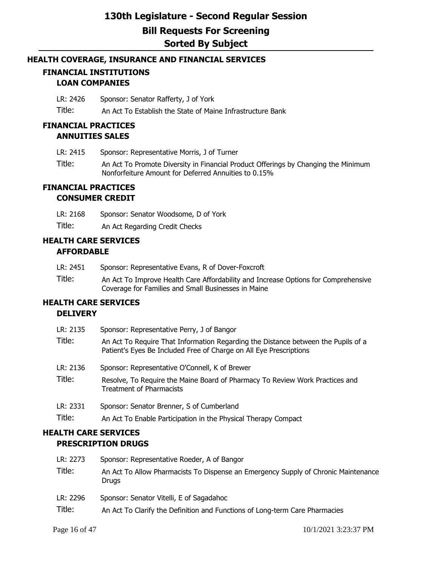### **HEALTH COVERAGE, INSURANCE AND FINANCIAL SERVICES**

## **FINANCIAL INSTITUTIONS LOAN COMPANIES**

LR: 2426 Sponsor: Senator Rafferty, J of York

Title: An Act To Establish the State of Maine Infrastructure Bank

### **FINANCIAL PRACTICES ANNUITIES SALES**

- LR: 2415 Sponsor: Representative Morris, J of Turner
- Title: An Act To Promote Diversity in Financial Product Offerings by Changing the Minimum Nonforfeiture Amount for Deferred Annuities to 0.15%

### **FINANCIAL PRACTICES CONSUMER CREDIT**

LR: 2168 Sponsor: Senator Woodsome, D of York

Title: An Act Regarding Credit Checks

### **HEALTH CARE SERVICES AFFORDABLE**

- LR: 2451 Sponsor: Representative Evans, R of Dover-Foxcroft
- Title: An Act To Improve Health Care Affordability and Increase Options for Comprehensive Coverage for Families and Small Businesses in Maine

### **HEALTH CARE SERVICES DELIVERY**

| LR: 2135 | Sponsor: Representative Perry, J of Bangor                                                                                                              |
|----------|---------------------------------------------------------------------------------------------------------------------------------------------------------|
| Title:   | An Act To Require That Information Regarding the Distance between the Pupils of a<br>Patient's Eyes Be Included Free of Charge on All Eye Prescriptions |
| LR: 2136 | Sponsor: Representative O'Connell, K of Brewer                                                                                                          |
| Title:   | Resolve, To Require the Maine Board of Pharmacy To Review Work Practices and<br><b>Treatment of Pharmacists</b>                                         |
| LR: 2331 | Sponsor: Senator Brenner, S of Cumberland                                                                                                               |
| Title:   | An Act To Enable Participation in the Physical Therapy Compact                                                                                          |

## **HEALTH CARE SERVICES PRESCRIPTION DRUGS**

| LR: 2273 | Sponsor: Representative Roeder, A of Bangor                                                 |
|----------|---------------------------------------------------------------------------------------------|
| Title:   | An Act To Allow Pharmacists To Dispense an Emergency Supply of Chronic Maintenance<br>Drugs |
| LR: 2296 | Sponsor: Senator Vitelli, E of Sagadahoc                                                    |
| Title:   | An Act To Clarify the Definition and Functions of Long-term Care Pharmacies                 |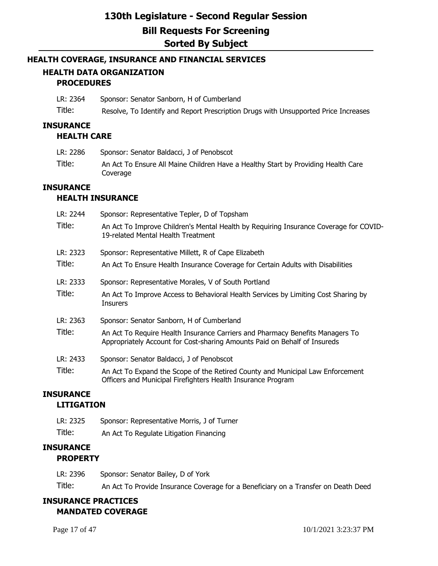### **HEALTH COVERAGE, INSURANCE AND FINANCIAL SERVICES**

## **HEALTH DATA ORGANIZATION PROCEDURES**

LR: 2364 Sponsor: Senator Sanborn, H of Cumberland

Title: Resolve, To Identify and Report Prescription Drugs with Unsupported Price Increases

### **INSURANCE**

### **HEALTH CARE**

- LR: 2286 Sponsor: Senator Baldacci, J of Penobscot
- Title: An Act To Ensure All Maine Children Have a Healthy Start by Providing Health Care Coverage

## **INSURANCE**

### **HEALTH INSURANCE**

| LR: 2244 | Sponsor: Representative Tepler, D of Topsham                                                                                                               |
|----------|------------------------------------------------------------------------------------------------------------------------------------------------------------|
| Title:   | An Act To Improve Children's Mental Health by Requiring Insurance Coverage for COVID-<br>19-related Mental Health Treatment                                |
| LR: 2323 | Sponsor: Representative Millett, R of Cape Elizabeth                                                                                                       |
| Title:   | An Act To Ensure Health Insurance Coverage for Certain Adults with Disabilities                                                                            |
| LR: 2333 | Sponsor: Representative Morales, V of South Portland                                                                                                       |
| Title:   | An Act To Improve Access to Behavioral Health Services by Limiting Cost Sharing by<br><b>Insurers</b>                                                      |
| LR: 2363 | Sponsor: Senator Sanborn, H of Cumberland                                                                                                                  |
| Title:   | An Act To Require Health Insurance Carriers and Pharmacy Benefits Managers To<br>Appropriately Account for Cost-sharing Amounts Paid on Behalf of Insureds |
| LR: 2433 | Sponsor: Senator Baldacci, J of Penobscot                                                                                                                  |
| Title:   | An Act To Expand the Scope of the Retired County and Municipal Law Enforcement<br>Officers and Municipal Firefighters Health Insurance Program             |
|          |                                                                                                                                                            |

### **INSURANCE**

### **LITIGATION**

| LR: 2325 | Sponsor: Representative Morris, J of Turner |
|----------|---------------------------------------------|
| Title:   | An Act To Regulate Litigation Financing     |

### **INSURANCE PROPERTY**

LR: 2396 Sponsor: Senator Bailey, D of York Title: An Act To Provide Insurance Coverage for a Beneficiary on a Transfer on Death Deed

## **INSURANCE PRACTICES MANDATED COVERAGE**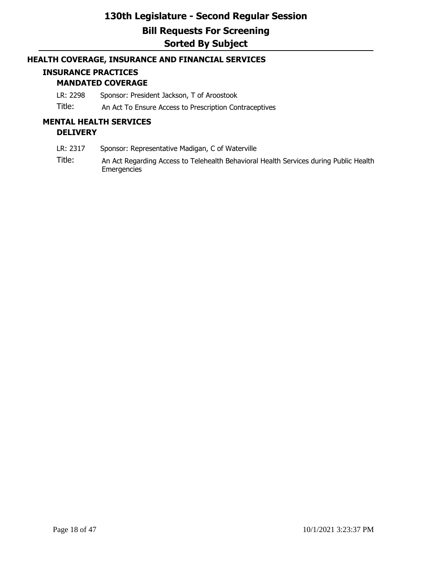### **HEALTH COVERAGE, INSURANCE AND FINANCIAL SERVICES**

## **INSURANCE PRACTICES**

## **MANDATED COVERAGE**

LR: 2298 Sponsor: President Jackson, T of Aroostook

Title: An Act To Ensure Access to Prescription Contraceptives

### **MENTAL HEALTH SERVICES DELIVERY**

- LR: 2317 Sponsor: Representative Madigan, C of Waterville
- Title: An Act Regarding Access to Telehealth Behavioral Health Services during Public Health **Emergencies**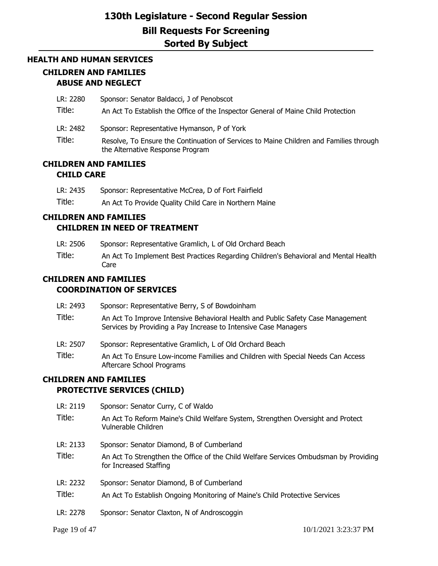## **HEALTH AND HUMAN SERVICES CHILDREN AND FAMILIES ABUSE AND NEGLECT**

LR: 2280 Sponsor: Senator Baldacci, J of Penobscot

Title: An Act To Establish the Office of the Inspector General of Maine Child Protection

- LR: 2482 Sponsor: Representative Hymanson, P of York
- Title: Resolve, To Ensure the Continuation of Services to Maine Children and Families through the Alternative Response Program

### **CHILDREN AND FAMILIES CHILD CARE**

| LR: 2435 | Sponsor: Representative McCrea, D of Fort Fairfield |
|----------|-----------------------------------------------------|
|----------|-----------------------------------------------------|

Title: An Act To Provide Quality Child Care in Northern Maine

## **CHILDREN AND FAMILIES CHILDREN IN NEED OF TREATMENT**

- LR: 2506 Sponsor: Representative Gramlich, L of Old Orchard Beach
- Title: An Act To Implement Best Practices Regarding Children's Behavioral and Mental Health Care

### **CHILDREN AND FAMILIES**

### **COORDINATION OF SERVICES**

| Sponsor: Representative Berry, S of Bowdoinham                                                                                                     |  |  |  |  |  |
|----------------------------------------------------------------------------------------------------------------------------------------------------|--|--|--|--|--|
| An Act To Improve Intensive Behavioral Health and Public Safety Case Management<br>Services by Providing a Pay Increase to Intensive Case Managers |  |  |  |  |  |
| Sponsor: Representative Gramlich, L of Old Orchard Beach                                                                                           |  |  |  |  |  |
| An Act To Ensure Low-income Families and Children with Special Needs Can Access<br>Aftercare School Programs                                       |  |  |  |  |  |
|                                                                                                                                                    |  |  |  |  |  |

### **CHILDREN AND FAMILIES PROTECTIVE SERVICES (CHILD)**

| LR: 2119 | Sponsor: Senator Curry, C of Waldo                                                                             |  |  |  |  |
|----------|----------------------------------------------------------------------------------------------------------------|--|--|--|--|
| Title:   | An Act To Reform Maine's Child Welfare System, Strengthen Oversight and Protect<br>Vulnerable Children         |  |  |  |  |
| LR: 2133 | Sponsor: Senator Diamond, B of Cumberland                                                                      |  |  |  |  |
| Title:   | An Act To Strengthen the Office of the Child Welfare Services Ombudsman by Providing<br>for Increased Staffing |  |  |  |  |
| LR: 2232 | Sponsor: Senator Diamond, B of Cumberland                                                                      |  |  |  |  |
| Title:   | An Act To Establish Ongoing Monitoring of Maine's Child Protective Services                                    |  |  |  |  |
| LR: 2278 | Sponsor: Senator Claxton, N of Androscoggin                                                                    |  |  |  |  |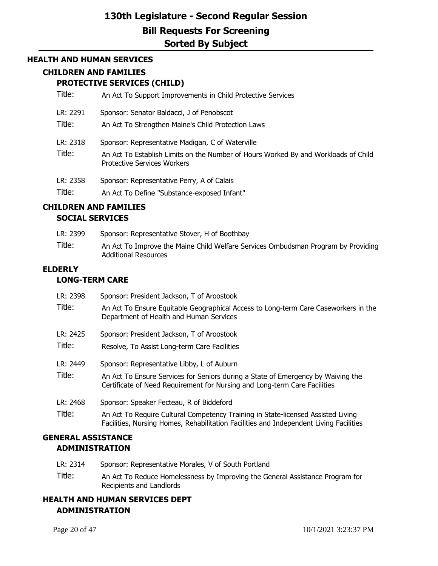### **HEALTH AND HUMAN SERVICES**

### **CHILDREN AND FAMILIES**

### **PROTECTIVE SERVICES (CHILD)**

- Title: An Act To Support Improvements in Child Protective Services
- LR: 2291 Sponsor: Senator Baldacci, J of Penobscot
- Title: An Act To Strengthen Maine's Child Protection Laws
- LR: 2318 Sponsor: Representative Madigan, C of Waterville
- Title: An Act To Establish Limits on the Number of Hours Worked By and Workloads of Child Protective Services Workers
- LR: 2358 Sponsor: Representative Perry, A of Calais

Title: An Act To Define "Substance-exposed Infant"

### **CHILDREN AND FAMILIES**

#### **SOCIAL SERVICES**

LR: 2399 Sponsor: Representative Stover, H of Boothbay Title: An Act To Improve the Maine Child Welfare Services Ombudsman Program by Providing Additional Resources

### **ELDERLY**

### **LONG-TERM CARE**

| LR: 2398 | Sponsor: President Jackson, T of Aroostook                                                                                                                                 |  |  |  |  |
|----------|----------------------------------------------------------------------------------------------------------------------------------------------------------------------------|--|--|--|--|
| Title:   | An Act To Ensure Equitable Geographical Access to Long-term Care Caseworkers in the<br>Department of Health and Human Services                                             |  |  |  |  |
| LR: 2425 | Sponsor: President Jackson, T of Aroostook                                                                                                                                 |  |  |  |  |
| Title:   | Resolve, To Assist Long-term Care Facilities                                                                                                                               |  |  |  |  |
| LR: 2449 | Sponsor: Representative Libby, L of Auburn                                                                                                                                 |  |  |  |  |
| Title:   | An Act To Ensure Services for Seniors during a State of Emergency by Waiving the<br>Certificate of Need Requirement for Nursing and Long-term Care Facilities              |  |  |  |  |
| LR: 2468 | Sponsor: Speaker Fecteau, R of Biddeford                                                                                                                                   |  |  |  |  |
| Title:   | An Act To Require Cultural Competency Training in State-licensed Assisted Living<br>Facilities, Nursing Homes, Rehabilitation Facilities and Independent Living Facilities |  |  |  |  |

## **GENERAL ASSISTANCE ADMINISTRATION**

- LR: 2314 Sponsor: Representative Morales, V of South Portland
- Title: An Act To Reduce Homelessness by Improving the General Assistance Program for Recipients and Landlords

## **HEALTH AND HUMAN SERVICES DEPT ADMINISTRATION**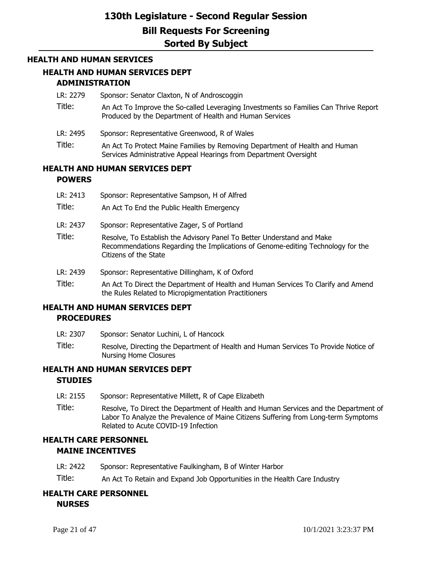#### **HEALTH AND HUMAN SERVICES**

### **HEALTH AND HUMAN SERVICES DEPT ADMINISTRATION**

- LR: 2279 Sponsor: Senator Claxton, N of Androscoggin
- Title: An Act To Improve the So-called Leveraging Investments so Families Can Thrive Report Produced by the Department of Health and Human Services
- LR: 2495 Sponsor: Representative Greenwood, R of Wales
- Title: An Act To Protect Maine Families by Removing Department of Health and Human Services Administrative Appeal Hearings from Department Oversight

### **HEALTH AND HUMAN SERVICES DEPT POWERS**

| LR: 2413 | Sponsor: Representative Sampson, H of Alfred                                                                                                                                       |  |  |  |  |  |
|----------|------------------------------------------------------------------------------------------------------------------------------------------------------------------------------------|--|--|--|--|--|
| Title:   | An Act To End the Public Health Emergency                                                                                                                                          |  |  |  |  |  |
| LR: 2437 | Sponsor: Representative Zager, S of Portland                                                                                                                                       |  |  |  |  |  |
| Title:   | Resolve, To Establish the Advisory Panel To Better Understand and Make<br>Recommendations Regarding the Implications of Genome-editing Technology for the<br>Citizens of the State |  |  |  |  |  |
| LR: 2439 | Sponsor: Representative Dillingham, K of Oxford                                                                                                                                    |  |  |  |  |  |
| Title:   | An Act To Direct the Department of Health and Human Services To Clarify and Amend                                                                                                  |  |  |  |  |  |

the Rules Related to Micropigmentation Practitioners

## **HEALTH AND HUMAN SERVICES DEPT PROCEDURES**

- LR: 2307 Sponsor: Senator Luchini, L of Hancock
- Title: Resolve, Directing the Department of Health and Human Services To Provide Notice of Nursing Home Closures

## **HEALTH AND HUMAN SERVICES DEPT STUDIES**

- LR: 2155 Sponsor: Representative Millett, R of Cape Elizabeth
- Title: Resolve, To Direct the Department of Health and Human Services and the Department of Labor To Analyze the Prevalence of Maine Citizens Suffering from Long-term Symptoms Related to Acute COVID-19 Infection

### **HEALTH CARE PERSONNEL MAINE INCENTIVES**

- LR: 2422 Sponsor: Representative Faulkingham, B of Winter Harbor
- Title: An Act To Retain and Expand Job Opportunities in the Health Care Industry

## **HEALTH CARE PERSONNEL**

**NURSES**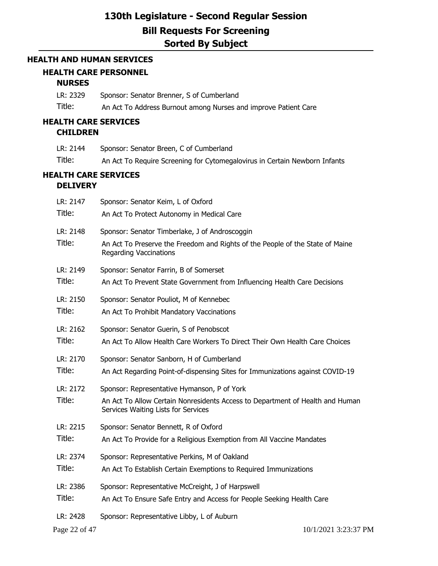### **HEALTH AND HUMAN SERVICES**

## **HEALTH CARE PERSONNEL**

### **NURSES**

| LR: 2329 | Sponsor: Senator Brenner, S of Cumberland                       |
|----------|-----------------------------------------------------------------|
| Title:   | An Act To Address Burnout among Nurses and improve Patient Care |

## **HEALTH CARE SERVICES**

## **CHILDREN**

| LR: 2144 | Sponsor: Senator Breen, C of Cumberland                                    |
|----------|----------------------------------------------------------------------------|
| Title:   | An Act To Require Screening for Cytomegalovirus in Certain Newborn Infants |

### **HEALTH CARE SERVICES DELIVERY**

| LR: 2147           | Sponsor: Senator Keim, L of Oxford                                                                                                                                  |
|--------------------|---------------------------------------------------------------------------------------------------------------------------------------------------------------------|
| Title:             | An Act To Protect Autonomy in Medical Care                                                                                                                          |
| LR: 2148<br>Title: | Sponsor: Senator Timberlake, J of Androscoggin<br>An Act To Preserve the Freedom and Rights of the People of the State of Maine<br><b>Regarding Vaccinations</b>    |
| LR: 2149           | Sponsor: Senator Farrin, B of Somerset                                                                                                                              |
| Title:             | An Act To Prevent State Government from Influencing Health Care Decisions                                                                                           |
| LR: 2150           | Sponsor: Senator Pouliot, M of Kennebec                                                                                                                             |
| Title:             | An Act To Prohibit Mandatory Vaccinations                                                                                                                           |
| LR: 2162           | Sponsor: Senator Guerin, S of Penobscot                                                                                                                             |
| Title:             | An Act To Allow Health Care Workers To Direct Their Own Health Care Choices                                                                                         |
| LR: 2170           | Sponsor: Senator Sanborn, H of Cumberland                                                                                                                           |
| Title:             | An Act Regarding Point-of-dispensing Sites for Immunizations against COVID-19                                                                                       |
| LR: 2172<br>Title: | Sponsor: Representative Hymanson, P of York<br>An Act To Allow Certain Nonresidents Access to Department of Health and Human<br>Services Waiting Lists for Services |
| LR: 2215           | Sponsor: Senator Bennett, R of Oxford                                                                                                                               |
| Title:             | An Act To Provide for a Religious Exemption from All Vaccine Mandates                                                                                               |
| LR: 2374           | Sponsor: Representative Perkins, M of Oakland                                                                                                                       |
| Title:             | An Act To Establish Certain Exemptions to Required Immunizations                                                                                                    |
| LR: 2386           | Sponsor: Representative McCreight, J of Harpswell                                                                                                                   |
| Title:             | An Act To Ensure Safe Entry and Access for People Seeking Health Care                                                                                               |
| LR: 2428           | Sponsor: Representative Libby, L of Auburn                                                                                                                          |
| Page 22 of 47      | 10/1/2021 3:23:37 PM                                                                                                                                                |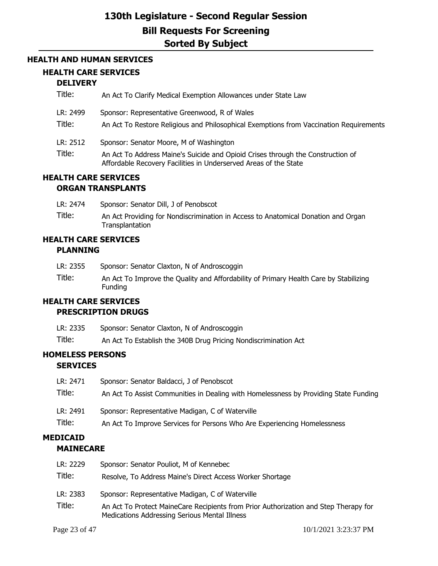### **HEALTH AND HUMAN SERVICES**

### **HEALTH CARE SERVICES**

## **DELIVERY**

| Title:                      | An Act To Clarify Medical Exemption Allowances under State Law                                                                                                                                 |  |  |
|-----------------------------|------------------------------------------------------------------------------------------------------------------------------------------------------------------------------------------------|--|--|
| LR: 2499<br>Title:          | Sponsor: Representative Greenwood, R of Wales<br>An Act To Restore Religious and Philosophical Exemptions from Vaccination Requirements                                                        |  |  |
| LR: 2512<br>Title:          | Sponsor: Senator Moore, M of Washington<br>An Act To Address Maine's Suicide and Opioid Crises through the Construction of<br>Affordable Recovery Facilities in Underserved Areas of the State |  |  |
| <b>HEALTH CARE SERVICES</b> |                                                                                                                                                                                                |  |  |

# **ORGAN TRANSPLANTS**

| LR: 2474 |  |  | Sponsor: Senator Dill, J of Penobscot |
|----------|--|--|---------------------------------------|
|          |  |  |                                       |

Title: An Act Providing for Nondiscrimination in Access to Anatomical Donation and Organ **Transplantation** 

### **HEALTH CARE SERVICES PLANNING**

| LR: 2355 | Sponsor: Senator Claxton, N of Androscoggin                                                             |
|----------|---------------------------------------------------------------------------------------------------------|
| Title:   | An Act To Improve the Quality and Affordability of Primary Health Care by Stabilizing<br><b>Funding</b> |
|          |                                                                                                         |

### **HEALTH CARE SERVICES**

### **PRESCRIPTION DRUGS**

- LR: 2335 Sponsor: Senator Claxton, N of Androscoggin
- Title: An Act To Establish the 340B Drug Pricing Nondiscrimination Act

### **HOMELESS PERSONS SERVICES**

| LR: 2471 | Sponsor: Senator Baldacci, J of Penobscot                                            |
|----------|--------------------------------------------------------------------------------------|
| Title:   | An Act To Assist Communities in Dealing with Homelessness by Providing State Funding |
| LR: 2491 | Sponsor: Representative Madigan, C of Waterville                                     |
|          |                                                                                      |

# **MEDICAID**

## **MAINECARE**

| LR: 2229 | Sponsor: Senator Pouliot, M of Kennebec                                                                                               |
|----------|---------------------------------------------------------------------------------------------------------------------------------------|
| Title:   | Resolve, To Address Maine's Direct Access Worker Shortage                                                                             |
| LR: 2383 | Sponsor: Representative Madigan, C of Waterville                                                                                      |
| Title:   | An Act To Protect MaineCare Recipients from Prior Authorization and Step Therapy for<br>Medications Addressing Serious Mental Illness |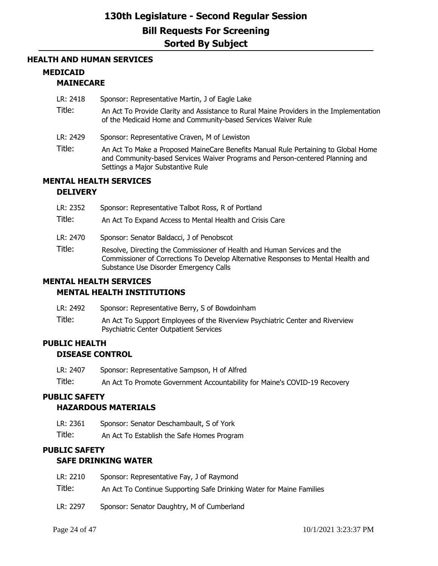### **HEALTH AND HUMAN SERVICES**

## **MEDICAID**

### **MAINECARE**

- LR: 2418 Sponsor: Representative Martin, J of Eagle Lake
- Title: An Act To Provide Clarity and Assistance to Rural Maine Providers in the Implementation of the Medicaid Home and Community-based Services Waiver Rule
- LR: 2429 Sponsor: Representative Craven, M of Lewiston
- Title: An Act To Make a Proposed MaineCare Benefits Manual Rule Pertaining to Global Home and Community-based Services Waiver Programs and Person-centered Planning and Settings a Major Substantive Rule

## **MENTAL HEALTH SERVICES**

### **DELIVERY**

| LR: 2352 | Sponsor: Representative Talbot Ross, R of Portland                                                                                                                                                      |
|----------|---------------------------------------------------------------------------------------------------------------------------------------------------------------------------------------------------------|
| Title:   | An Act To Expand Access to Mental Health and Crisis Care                                                                                                                                                |
| LR: 2470 | Sponsor: Senator Baldacci, J of Penobscot                                                                                                                                                               |
| Title:   | Resolve, Directing the Commissioner of Health and Human Services and the<br>Commissioner of Corrections To Develop Alternative Responses to Mental Health and<br>Substance Use Disorder Emergency Calls |
|          | <b>MENTAL HEALTH SERVICES</b>                                                                                                                                                                           |

# **MENTAL HEALTH INSTITUTIONS**

- LR: 2492 Sponsor: Representative Berry, S of Bowdoinham
- Title: An Act To Support Employees of the Riverview Psychiatric Center and Riverview Psychiatric Center Outpatient Services

## **PUBLIC HEALTH DISEASE CONTROL**

LR: 2407 Sponsor: Representative Sampson, H of Alfred

Title: An Act To Promote Government Accountability for Maine's COVID-19 Recovery

## **PUBLIC SAFETY**

### **HAZARDOUS MATERIALS**

- LR: 2361 Sponsor: Senator Deschambault, S of York
- Title: An Act To Establish the Safe Homes Program

## **PUBLIC SAFETY**

### **SAFE DRINKING WATER**

| LR: 2210 | Sponsor: Representative Fay, J of Raymond                            |
|----------|----------------------------------------------------------------------|
| Title:   | An Act To Continue Supporting Safe Drinking Water for Maine Families |
| LR: 2297 | Sponsor: Senator Daughtry, M of Cumberland                           |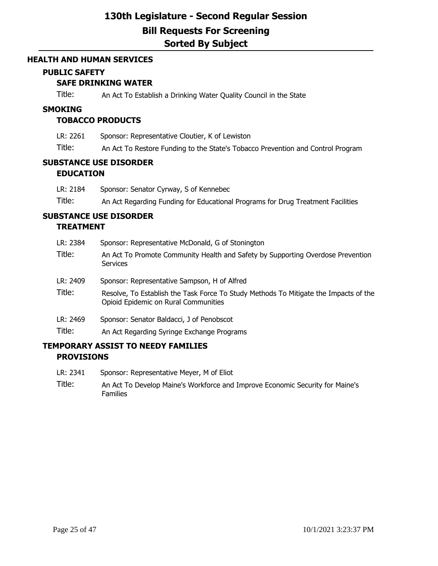#### **HEALTH AND HUMAN SERVICES**

### **PUBLIC SAFETY**

### **SAFE DRINKING WATER**

Title: An Act To Establish a Drinking Water Quality Council in the State

#### **SMOKING**

### **TOBACCO PRODUCTS**

- LR: 2261 Sponsor: Representative Cloutier, K of Lewiston
- Title: An Act To Restore Funding to the State's Tobacco Prevention and Control Program

### **SUBSTANCE USE DISORDER EDUCATION**

LR: 2184 Sponsor: Senator Cyrway, S of Kennebec Title: An Act Regarding Funding for Educational Programs for Drug Treatment Facilities

# **SUBSTANCE USE DISORDER**

### **TREATMENT**

| LR: 2384 | Sponsor: Representative McDonald, G of Stonington                                                                            |
|----------|------------------------------------------------------------------------------------------------------------------------------|
| Title:   | An Act To Promote Community Health and Safety by Supporting Overdose Prevention<br>Services                                  |
| LR: 2409 | Sponsor: Representative Sampson, H of Alfred                                                                                 |
| Title:   | Resolve, To Establish the Task Force To Study Methods To Mitigate the Impacts of the<br>Opioid Epidemic on Rural Communities |
| LR: 2469 | Sponsor: Senator Baldacci, J of Penobscot                                                                                    |
| Title:   | An Act Regarding Syringe Exchange Programs                                                                                   |

## **TEMPORARY ASSIST TO NEEDY FAMILIES PROVISIONS**

- LR: 2341 Sponsor: Representative Meyer, M of Eliot
- Title: An Act To Develop Maine's Workforce and Improve Economic Security for Maine's Families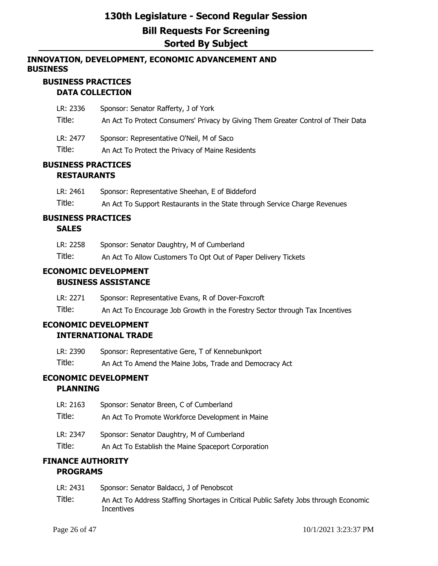## **INNOVATION, DEVELOPMENT, ECONOMIC ADVANCEMENT AND BUSINESS**

## **BUSINESS PRACTICES DATA COLLECTION**

| LR: 2336 | Sponsor: Senator Rafferty, J of York                                              |
|----------|-----------------------------------------------------------------------------------|
| Title:   | An Act To Protect Consumers' Privacy by Giving Them Greater Control of Their Data |
| LR: 2477 | Sponsor: Representative O'Neil, M of Saco                                         |
| Title:   | An Act To Protect the Privacy of Maine Residents                                  |

## **BUSINESS PRACTICES RESTAURANTS**

| LR: 2461 | Sponsor: Representative Sheehan, E of Biddeford                            |
|----------|----------------------------------------------------------------------------|
| Title:   | An Act To Support Restaurants in the State through Service Charge Revenues |

## **BUSINESS PRACTICES**

### **SALES**

| LR: 2258 | Sponsor: Senator Daughtry, M of Cumberland                     |
|----------|----------------------------------------------------------------|
| Title:   | An Act To Allow Customers To Opt Out of Paper Delivery Tickets |

### **ECONOMIC DEVELOPMENT BUSINESS ASSISTANCE**

LR: 2271 Sponsor: Representative Evans, R of Dover-Foxcroft

Title: An Act To Encourage Job Growth in the Forestry Sector through Tax Incentives

# **ECONOMIC DEVELOPMENT**

## **INTERNATIONAL TRADE**

| LR: 2390 | Sponsor: Representative Gere, T of Kennebunkport        |
|----------|---------------------------------------------------------|
| Title:   | An Act To Amend the Maine Jobs, Trade and Democracy Act |

# **ECONOMIC DEVELOPMENT**

## **PLANNING**

| LR: 2163 | Sponsor: Senator Breen, C of Cumberland             |
|----------|-----------------------------------------------------|
| Title:   | An Act To Promote Workforce Development in Maine    |
| LR: 2347 | Sponsor: Senator Daughtry, M of Cumberland          |
| Title:   | An Act To Establish the Maine Spaceport Corporation |

## **FINANCE AUTHORITY PROGRAMS**

| LR: 2431 | Sponsor: Senator Baldacci, J of Penobscot |
|----------|-------------------------------------------|
|----------|-------------------------------------------|

Title: An Act To Address Staffing Shortages in Critical Public Safety Jobs through Economic **Incentives**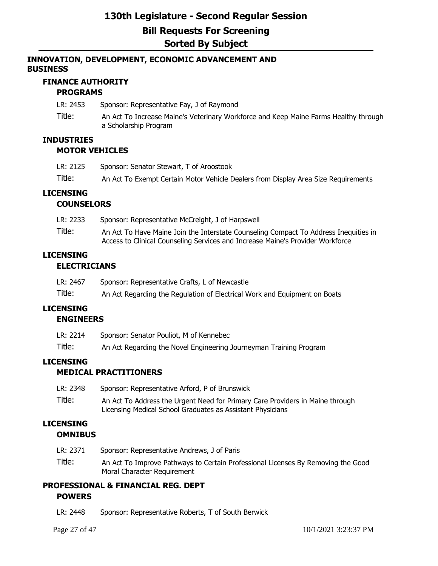## **INNOVATION, DEVELOPMENT, ECONOMIC ADVANCEMENT AND BUSINESS**

## **FINANCE AUTHORITY**

## **PROGRAMS**

LR: 2453 Sponsor: Representative Fay, J of Raymond

Title: An Act To Increase Maine's Veterinary Workforce and Keep Maine Farms Healthy through a Scholarship Program

# **INDUSTRIES**

## **MOTOR VEHICLES**

| LR: 2125 | Sponsor: Senator Stewart, T of Aroostook                                           |
|----------|------------------------------------------------------------------------------------|
| Title:   | An Act To Exempt Certain Motor Vehicle Dealers from Display Area Size Requirements |

## **LICENSING**

## **COUNSELORS**

| LR: 2233 | Sponsor: Representative McCreight, J of Harpswell                                    |
|----------|--------------------------------------------------------------------------------------|
| Title:   | An Act To Have Maine Join the Interstate Counseling Compact To Address Inequities in |
|          | Access to Clinical Counseling Services and Increase Maine's Provider Workforce       |

## **LICENSING**

## **ELECTRICIANS**

| LR: 2467 | Sponsor: Representative Crafts, L of Newcastle |  |
|----------|------------------------------------------------|--|
|----------|------------------------------------------------|--|

Title: An Act Regarding the Regulation of Electrical Work and Equipment on Boats

## **LICENSING**

### **ENGINEERS**

| LR: 2214 | Sponsor: Senator Pouliot, M of Kennebec                            |
|----------|--------------------------------------------------------------------|
| Title:   | An Act Regarding the Novel Engineering Journeyman Training Program |

## **LICENSING**

## **MEDICAL PRACTITIONERS**

| LR: 2348 | Sponsor: Representative Arford, P of Brunswick                                |
|----------|-------------------------------------------------------------------------------|
| Title:   | An Act To Address the Urgent Need for Primary Care Providers in Maine through |
|          | Licensing Medical School Graduates as Assistant Physicians                    |

### **LICENSING OMNIBUS**

LR: 2371 Sponsor: Representative Andrews, J of Paris Title: An Act To Improve Pathways to Certain Professional Licenses By Removing the Good Moral Character Requirement

## **PROFESSIONAL & FINANCIAL REG. DEPT POWERS**

LR: 2448 Sponsor: Representative Roberts, T of South Berwick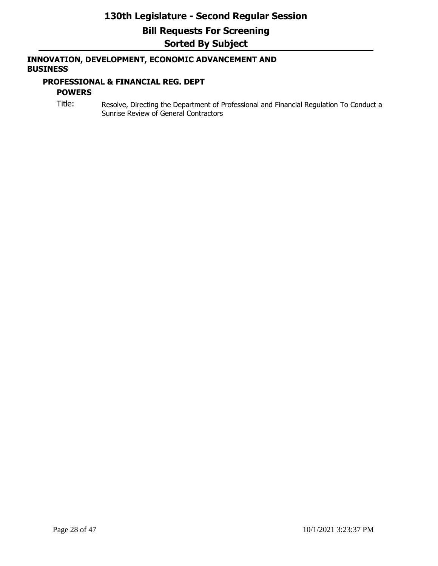## **INNOVATION, DEVELOPMENT, ECONOMIC ADVANCEMENT AND BUSINESS**

### **PROFESSIONAL & FINANCIAL REG. DEPT**

## **POWERS**

Title: Resolve, Directing the Department of Professional and Financial Regulation To Conduct a Sunrise Review of General Contractors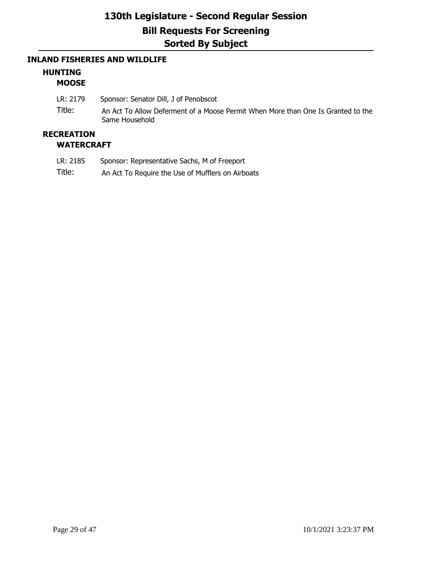### **INLAND FISHERIES AND WILDLIFE**

### **HUNTING MOOSE**

LR: 2179 Sponsor: Senator Dill, J of Penobscot Title: An Act To Allow Deferment of a Moose Permit When More than One Is Granted to the Same Household

## **RECREATION**

### **WATERCRAFT**

- LR: 2185 Sponsor: Representative Sachs, M of Freeport
- Title: An Act To Require the Use of Mufflers on Airboats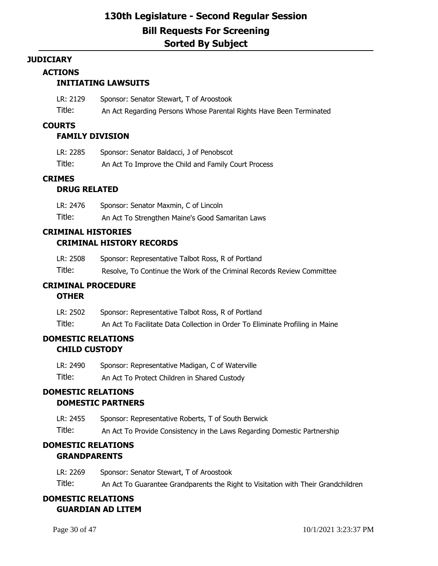#### **JUDICIARY**

### **ACTIONS**

## **INITIATING LAWSUITS**

| LR: 2129 | Sponsor: Senator Stewart, T of Aroostook                            |
|----------|---------------------------------------------------------------------|
| Title:   | An Act Regarding Persons Whose Parental Rights Have Been Terminated |

### **COURTS**

### **FAMILY DIVISION**

| LR: 2285 | Sponsor: Senator Baldacci, J of Penobscot            |
|----------|------------------------------------------------------|
| Title:   | An Act To Improve the Child and Family Court Process |

### **CRIMES**

### **DRUG RELATED**

| LR: 2476 | Sponsor: Senator Maxmin, C of Lincoln            |
|----------|--------------------------------------------------|
| Title:   | An Act To Strengthen Maine's Good Samaritan Laws |

## **CRIMINAL HISTORIES**

## **CRIMINAL HISTORY RECORDS**

| LR: 2508 | Sponsor: Representative Talbot Ross, R of Portland                     |
|----------|------------------------------------------------------------------------|
| Title:   | Resolve, To Continue the Work of the Criminal Records Review Committee |

### **CRIMINAL PROCEDURE**

### **OTHER**

| LR: 2502 | Sponsor: Representative Talbot Ross, R of Portland                            |
|----------|-------------------------------------------------------------------------------|
| Title:   | An Act To Facilitate Data Collection in Order To Eliminate Profiling in Maine |

## **DOMESTIC RELATIONS CHILD CUSTODY**

| LR: 2490 | Sponsor: Representative Madigan, C of Waterville |
|----------|--------------------------------------------------|
| Title:   | An Act To Protect Children in Shared Custody     |

## **DOMESTIC RELATIONS DOMESTIC PARTNERS**

LR: 2455 Sponsor: Representative Roberts, T of South Berwick

Title: An Act To Provide Consistency in the Laws Regarding Domestic Partnership

## **DOMESTIC RELATIONS GRANDPARENTS**

LR: 2269 Sponsor: Senator Stewart, T of Aroostook Title: An Act To Guarantee Grandparents the Right to Visitation with Their Grandchildren

## **DOMESTIC RELATIONS GUARDIAN AD LITEM**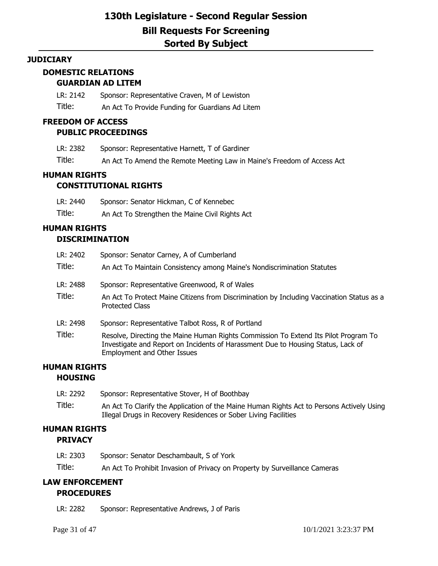### **JUDICIARY**

# **DOMESTIC RELATIONS**

- **GUARDIAN AD LITEM**
- LR: 2142 Sponsor: Representative Craven, M of Lewiston
- Title: An Act To Provide Funding for Guardians Ad Litem

### **FREEDOM OF ACCESS**

### **PUBLIC PROCEEDINGS**

| LR: 2382 | Sponsor: Representative Harnett, T of Gardiner                          |
|----------|-------------------------------------------------------------------------|
| Title:   | An Act To Amend the Remote Meeting Law in Maine's Freedom of Access Act |

## **HUMAN RIGHTS**

## **CONSTITUTIONAL RIGHTS**

| LR: 2440 | Sponsor: Senator Hickman, C of Kennebec         |
|----------|-------------------------------------------------|
| Title:   | An Act To Strengthen the Maine Civil Rights Act |

# **HUMAN RIGHTS**

### **DISCRIMINATION**

| LR: 2402<br>Title: | Sponsor: Senator Carney, A of Cumberland<br>An Act To Maintain Consistency among Maine's Nondiscrimination Statutes                                                                                           |
|--------------------|---------------------------------------------------------------------------------------------------------------------------------------------------------------------------------------------------------------|
| LR: 2488           | Sponsor: Representative Greenwood, R of Wales                                                                                                                                                                 |
| Title:             | An Act To Protect Maine Citizens from Discrimination by Including Vaccination Status as a<br><b>Protected Class</b>                                                                                           |
| LR: 2498           | Sponsor: Representative Talbot Ross, R of Portland                                                                                                                                                            |
| Title:             | Resolve, Directing the Maine Human Rights Commission To Extend Its Pilot Program To<br>Investigate and Report on Incidents of Harassment Due to Housing Status, Lack of<br><b>Employment and Other Issues</b> |

### **HUMAN RIGHTS HOUSING**

| LR: 2292 | Sponsor: Representative Stover, H of Boothbay                                                                                                                |
|----------|--------------------------------------------------------------------------------------------------------------------------------------------------------------|
| Title:   | An Act To Clarify the Application of the Maine Human Rights Act to Persons Actively Using<br>Illegal Drugs in Recovery Residences or Sober Living Facilities |

## **HUMAN RIGHTS PRIVACY**

| LR: 2303 | Sponsor: Senator Deschambault, S of York                                   |
|----------|----------------------------------------------------------------------------|
| Title:   | An Act To Prohibit Invasion of Privacy on Property by Surveillance Cameras |

## **LAW ENFORCEMENT PROCEDURES**

LR: 2282 Sponsor: Representative Andrews, J of Paris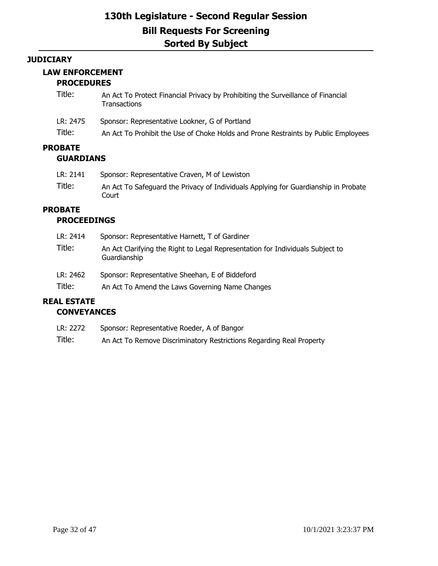### **JUDICIARY**

### **LAW ENFORCEMENT**

### **PROCEDURES**

| Title:                             | An Act To Protect Financial Privacy by Prohibiting the Surveillance of Financial<br>Transactions |
|------------------------------------|--------------------------------------------------------------------------------------------------|
| LR: 2475                           | Sponsor: Representative Lookner, G of Portland                                                   |
| Title:                             | An Act To Prohibit the Use of Choke Holds and Prone Restraints by Public Employees               |
| <b>PROBATE</b><br><b>GUARDIANS</b> |                                                                                                  |
| LR: 2141                           | Sponsor: Representative Craven, M of Lewiston                                                    |
| Title:                             | An Act To Safeguard the Privacy of Individuals Applying for Guardianship in Probate<br>Court     |

# **PROBATE**

## **PROCEEDINGS**

| LR: 2462<br>Title: | Sponsor: Representative Sheehan, E of Biddeford<br>An Act To Amend the Laws Governing Name Changes |
|--------------------|----------------------------------------------------------------------------------------------------|
| Title:             | An Act Clarifying the Right to Legal Representation for Individuals Subject to<br>Guardianship     |
| LR: 2414           | Sponsor: Representative Harnett, T of Gardiner                                                     |

## **REAL ESTATE CONVEYANCES**

| LR: 2272 | Sponsor: Representative Roeder, A of Bangor                          |
|----------|----------------------------------------------------------------------|
| Title:   | An Act To Remove Discriminatory Restrictions Regarding Real Property |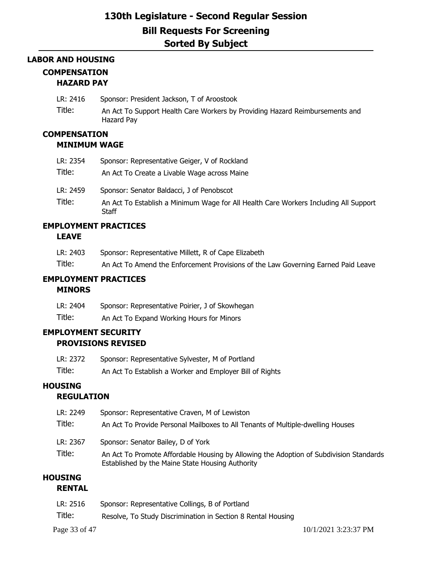## **LABOR AND HOUSING COMPENSATION HAZARD PAY**

| LR: 2416 | Sponsor: President Jackson, T of Aroostook |
|----------|--------------------------------------------|
|----------|--------------------------------------------|

Title: An Act To Support Health Care Workers by Providing Hazard Reimbursements and Hazard Pay

## **COMPENSATION**

### **MINIMUM WAGE**

| LR: 2354           | Sponsor: Representative Geiger, V of Rockland                                                                                              |
|--------------------|--------------------------------------------------------------------------------------------------------------------------------------------|
| Title:             | An Act To Create a Livable Wage across Maine                                                                                               |
| LR: 2459<br>Title: | Sponsor: Senator Baldacci, J of Penobscot<br>An Act To Establish a Minimum Wage for All Health Care Workers Including All Support<br>Staff |

## **EMPLOYMENT PRACTICES**

### **LEAVE**

| LR: 2403 | Sponsor: Representative Millett, R of Cape Elizabeth                              |
|----------|-----------------------------------------------------------------------------------|
| Title:   | An Act To Amend the Enforcement Provisions of the Law Governing Earned Paid Leave |

### **EMPLOYMENT PRACTICES**

### **MINORS**

| LR: 2404 | Sponsor: Representative Poirier, J of Skowhegan |
|----------|-------------------------------------------------|
| Title:   | An Act To Expand Working Hours for Minors       |

## **EMPLOYMENT SECURITY PROVISIONS REVISED**

| LR: 2372 | Sponsor: Representative Sylvester, M of Portland         |
|----------|----------------------------------------------------------|
| Title:   | An Act To Establish a Worker and Employer Bill of Rights |

## **HOUSING**

## **REGULATION**

| LR: 2249      | Sponsor: Representative Craven, M of Lewiston                                                                                              |
|---------------|--------------------------------------------------------------------------------------------------------------------------------------------|
| Title:        | An Act To Provide Personal Mailboxes to All Tenants of Multiple-dwelling Houses                                                            |
| LR: 2367      | Sponsor: Senator Bailey, D of York                                                                                                         |
| Title:        | An Act To Promote Affordable Housing by Allowing the Adoption of Subdivision Standards<br>Established by the Maine State Housing Authority |
| <b>ICTNIC</b> |                                                                                                                                            |

## **HOUSING**

## **RENTAL**

| LR: 2516 | Sponsor: Representative Collings, B of Portland              |
|----------|--------------------------------------------------------------|
| Title:   | Resolve, To Study Discrimination in Section 8 Rental Housing |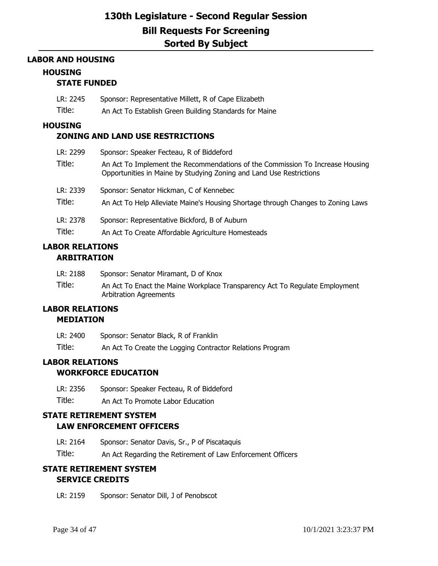### **LABOR AND HOUSING**

### **HOUSING**

### **STATE FUNDED**

- LR: 2245 Sponsor: Representative Millett, R of Cape Elizabeth
- Title: An Act To Establish Green Building Standards for Maine

### **HOUSING**

### **ZONING AND LAND USE RESTRICTIONS**

| LR: 2299<br>Title: | Sponsor: Speaker Fecteau, R of Biddeford                                                                                                             |  |  |  |
|--------------------|------------------------------------------------------------------------------------------------------------------------------------------------------|--|--|--|
|                    | An Act To Implement the Recommendations of the Commission To Increase Housing<br>Opportunities in Maine by Studying Zoning and Land Use Restrictions |  |  |  |
| LR: 2339           | Sponsor: Senator Hickman, C of Kennebec                                                                                                              |  |  |  |
| Title:             | An Act To Help Alleviate Maine's Housing Shortage through Changes to Zoning Laws                                                                     |  |  |  |
| LR: 2378           | Sponsor: Representative Bickford, B of Auburn                                                                                                        |  |  |  |
| Title:             | An Act To Create Affordable Agriculture Homesteads                                                                                                   |  |  |  |

## **LABOR RELATIONS ARBITRATION**

| LR: 2188 | Sponsor: Senator Miramant, D of Knox                                                                         |
|----------|--------------------------------------------------------------------------------------------------------------|
| Title:   | An Act To Enact the Maine Workplace Transparency Act To Regulate Employment<br><b>Arbitration Agreements</b> |

#### **LABOR RELATIONS MEDIATION**

| LR: 2400 | Sponsor: Senator Black, R of Franklin                     |
|----------|-----------------------------------------------------------|
| Title:   | An Act To Create the Logging Contractor Relations Program |

## **LABOR RELATIONS**

### **WORKFORCE EDUCATION**

LR: 2356 Sponsor: Speaker Fecteau, R of Biddeford

Title: An Act To Promote Labor Education

## **STATE RETIREMENT SYSTEM LAW ENFORCEMENT OFFICERS**

LR: 2164 Sponsor: Senator Davis, Sr., P of Piscataquis

Title: An Act Regarding the Retirement of Law Enforcement Officers

## **STATE RETIREMENT SYSTEM SERVICE CREDITS**

LR: 2159 Sponsor: Senator Dill, J of Penobscot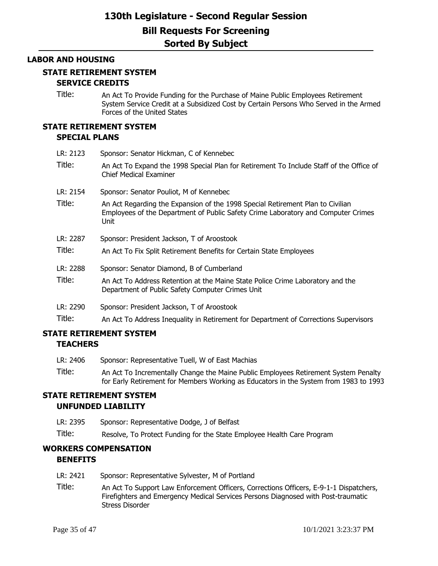#### **LABOR AND HOUSING**

### **STATE RETIREMENT SYSTEM**

## **SERVICE CREDITS**

Title: An Act To Provide Funding for the Purchase of Maine Public Employees Retirement System Service Credit at a Subsidized Cost by Certain Persons Who Served in the Armed Forces of the United States

### **STATE RETIREMENT SYSTEM SPECIAL PLANS**

- LR: 2123 Sponsor: Senator Hickman, C of Kennebec
- Title: An Act To Expand the 1998 Special Plan for Retirement To Include Staff of the Office of Chief Medical Examiner
- LR: 2154 Sponsor: Senator Pouliot, M of Kennebec
- Title: An Act Regarding the Expansion of the 1998 Special Retirement Plan to Civilian Employees of the Department of Public Safety Crime Laboratory and Computer Crimes Unit
- LR: 2287 Sponsor: President Jackson, T of Aroostook
- Title: An Act To Fix Split Retirement Benefits for Certain State Employees
- LR: 2288 Sponsor: Senator Diamond, B of Cumberland
- Title: An Act To Address Retention at the Maine State Police Crime Laboratory and the Department of Public Safety Computer Crimes Unit
- LR: 2290 Sponsor: President Jackson, T of Aroostook
- Title: An Act To Address Inequality in Retirement for Department of Corrections Supervisors

### **STATE RETIREMENT SYSTEM TEACHERS**

| LR: 2406 | Sponsor: Representative Tuell, W of East Machias                                                                                                                             |
|----------|------------------------------------------------------------------------------------------------------------------------------------------------------------------------------|
| Title:   | An Act To Incrementally Change the Maine Public Employees Retirement System Penalty<br>for Early Retirement for Members Working as Educators in the System from 1983 to 1993 |

#### **STATE RETIREMENT SYSTEM**

#### **UNFUNDED LIABILITY**

- LR: 2395 Sponsor: Representative Dodge, J of Belfast
- Title: Resolve, To Protect Funding for the State Employee Health Care Program

### **WORKERS COMPENSATION BENEFITS**

- LR: 2421 Sponsor: Representative Sylvester, M of Portland
- Title: An Act To Support Law Enforcement Officers, Corrections Officers, E-9-1-1 Dispatchers, Firefighters and Emergency Medical Services Persons Diagnosed with Post-traumatic Stress Disorder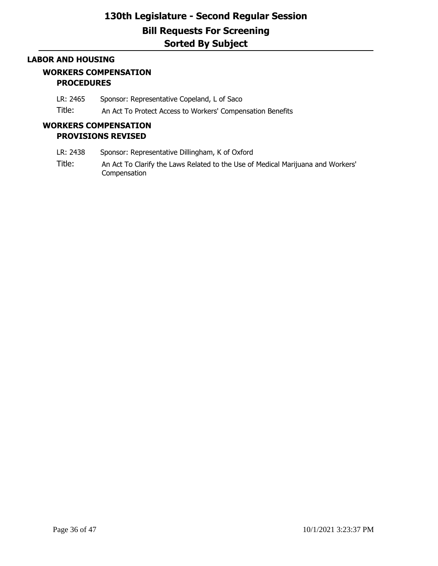### **LABOR AND HOUSING**

### **WORKERS COMPENSATION PROCEDURES**

LR: 2465 Sponsor: Representative Copeland, L of Saco

Title: An Act To Protect Access to Workers' Compensation Benefits

## **WORKERS COMPENSATION PROVISIONS REVISED**

- LR: 2438 Sponsor: Representative Dillingham, K of Oxford
- Title: An Act To Clarify the Laws Related to the Use of Medical Marijuana and Workers' Compensation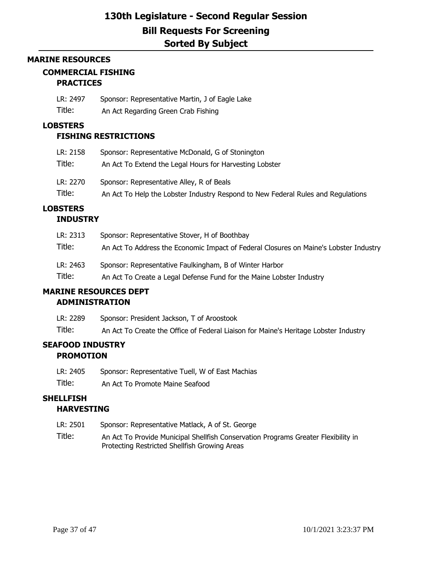#### **MARINE RESOURCES**

# **COMMERCIAL FISHING**

## **PRACTICES**

| LR: 2497 | Sponsor: Representative Martin, J of Eagle Lake |
|----------|-------------------------------------------------|
| Title:   | An Act Regarding Green Crab Fishing             |

### **LOBSTERS**

## **FISHING RESTRICTIONS**

| LR: 2158 | Sponsor: Representative McDonald, G of Stonington                                |
|----------|----------------------------------------------------------------------------------|
| Title:   | An Act To Extend the Legal Hours for Harvesting Lobster                          |
| LR: 2270 | Sponsor: Representative Alley, R of Beals                                        |
| Title:   | An Act To Help the Lobster Industry Respond to New Federal Rules and Regulations |

### **LOBSTERS INDUSTRY**

| LR: 2313 | Sponsor: Representative Stover, H of Boothbay                                         |  |  |  |
|----------|---------------------------------------------------------------------------------------|--|--|--|
| Title:   | An Act To Address the Economic Impact of Federal Closures on Maine's Lobster Industry |  |  |  |
| LR: 2463 | Sponsor: Representative Faulkingham, B of Winter Harbor                               |  |  |  |
| Title:   | An Act To Create a Legal Defense Fund for the Maine Lobster Industry                  |  |  |  |

# **MARINE RESOURCES DEPT**

## **ADMINISTRATION**

LR: 2289 Sponsor: President Jackson, T of Aroostook Title: An Act To Create the Office of Federal Liaison for Maine's Heritage Lobster Industry

## **SEAFOOD INDUSTRY PROMOTION**

- LR: 2405 Sponsor: Representative Tuell, W of East Machias
- Title: An Act To Promote Maine Seafood

### **SHELLFISH HARVESTING**

- LR: 2501 Sponsor: Representative Matlack, A of St. George
- Title: An Act To Provide Municipal Shellfish Conservation Programs Greater Flexibility in Protecting Restricted Shellfish Growing Areas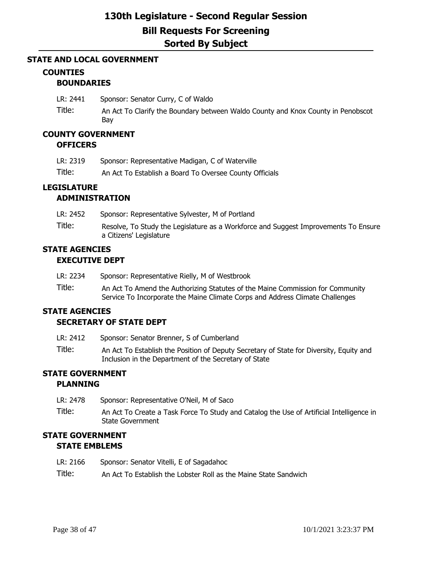### **STATE AND LOCAL GOVERNMENT**

### **COUNTIES**

### **BOUNDARIES**

- LR: 2441 Sponsor: Senator Curry, C of Waldo
- Title: An Act To Clarify the Boundary between Waldo County and Knox County in Penobscot Bay

# **COUNTY GOVERNMENT**

## **OFFICERS**

| LR: 2319 | Sponsor: Representative Madigan, C of Waterville        |
|----------|---------------------------------------------------------|
| Title:   | An Act To Establish a Board To Oversee County Officials |

## **LEGISLATURE**

### **ADMINISTRATION**

| LR: 2452 | Sponsor: Representative Sylvester, M of Portland                                                               |
|----------|----------------------------------------------------------------------------------------------------------------|
| Title:   | Resolve, To Study the Legislature as a Workforce and Suggest Improvements To Ensure<br>a Citizens' Legislature |

## **STATE AGENCIES EXECUTIVE DEPT**

| LR: 2234 | Sponsor: Representative Rielly, M of Westbrook |  |  |
|----------|------------------------------------------------|--|--|
|          |                                                |  |  |

Title: An Act To Amend the Authorizing Statutes of the Maine Commission for Community Service To Incorporate the Maine Climate Corps and Address Climate Challenges

## **STATE AGENCIES**

## **SECRETARY OF STATE DEPT**

- LR: 2412 Sponsor: Senator Brenner, S of Cumberland
- Title: An Act To Establish the Position of Deputy Secretary of State for Diversity, Equity and Inclusion in the Department of the Secretary of State

## **STATE GOVERNMENT**

### **PLANNING**

- LR: 2478 Sponsor: Representative O'Neil, M of Saco
- Title: An Act To Create a Task Force To Study and Catalog the Use of Artificial Intelligence in State Government

## **STATE GOVERNMENT STATE EMBLEMS**

- LR: 2166 Sponsor: Senator Vitelli, E of Sagadahoc
- Title: An Act To Establish the Lobster Roll as the Maine State Sandwich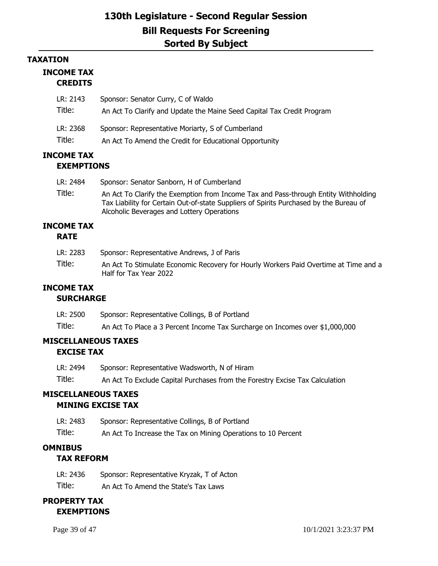### **TAXATION**

### **INCOME TAX CREDITS**

| LR: 2143 | Sponsor: Senator Curry, C of Waldo                                     |
|----------|------------------------------------------------------------------------|
| Title:   | An Act To Clarify and Update the Maine Seed Capital Tax Credit Program |
| LR: 2368 | Sponsor: Representative Moriarty, S of Cumberland                      |
| Title:   | An Act To Amend the Credit for Educational Opportunity                 |

## **INCOME TAX EXEMPTIONS**

| LR: 2484 | Sponsor: Senator Sanborn, H of Cumberland                                                                                                                                                                                   |
|----------|-----------------------------------------------------------------------------------------------------------------------------------------------------------------------------------------------------------------------------|
| Title:   | An Act To Clarify the Exemption from Income Tax and Pass-through Entity Withholding<br>Tax Liability for Certain Out-of-state Suppliers of Spirits Purchased by the Bureau of<br>Alcoholic Beverages and Lottery Operations |

#### **INCOME TAX RATE**

| LR: 2283 | Sponsor: Representative Andrews, J of Paris                                                                    |
|----------|----------------------------------------------------------------------------------------------------------------|
| Title:   | An Act To Stimulate Economic Recovery for Hourly Workers Paid Overtime at Time and a<br>Half for Tax Year 2022 |

## **INCOME TAX**

## **SURCHARGE**

| LR: 2500 | Sponsor: Representative Collings, B of Portland                              |
|----------|------------------------------------------------------------------------------|
| Title:   | An Act To Place a 3 Percent Income Tax Surcharge on Incomes over \$1,000,000 |

### **MISCELLANEOUS TAXES EXCISE TAX**

| LR: 2494 | Sponsor: Representative Wadsworth, N of Hiram                                |
|----------|------------------------------------------------------------------------------|
| Title:   | An Act To Exclude Capital Purchases from the Forestry Excise Tax Calculation |

## **MISCELLANEOUS TAXES**

## **MINING EXCISE TAX**

- LR: 2483 Sponsor: Representative Collings, B of Portland
- Title: An Act To Increase the Tax on Mining Operations to 10 Percent

## **OMNIBUS**

## **TAX REFORM**

| LR: 2436 | Sponsor: Representative Kryzak, T of Acton |
|----------|--------------------------------------------|
|----------|--------------------------------------------|

Title: An Act To Amend the State's Tax Laws

## **PROPERTY TAX EXEMPTIONS**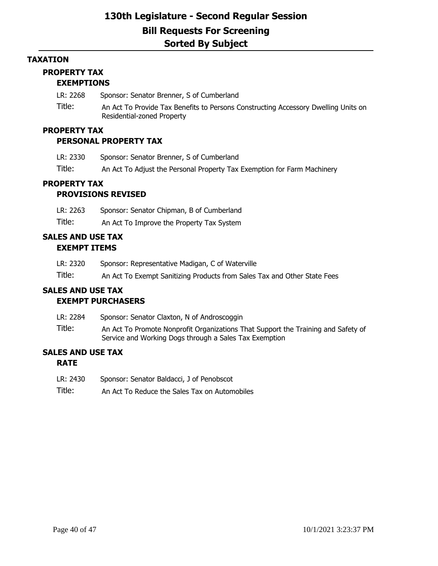### **TAXATION**

## **PROPERTY TAX**

## **EXEMPTIONS**

LR: 2268 Sponsor: Senator Brenner, S of Cumberland

Title: An Act To Provide Tax Benefits to Persons Constructing Accessory Dwelling Units on Residential-zoned Property

### **PROPERTY TAX**

### **PERSONAL PROPERTY TAX**

| LR: 2330 | Sponsor: Senator Brenner, S of Cumberland                               |
|----------|-------------------------------------------------------------------------|
| Title:   | An Act To Adjust the Personal Property Tax Exemption for Farm Machinery |

## **PROPERTY TAX**

## **PROVISIONS REVISED**

LR: 2263 Sponsor: Senator Chipman, B of Cumberland

Title: An Act To Improve the Property Tax System

## **SALES AND USE TAX EXEMPT ITEMS**

| LR: 2320 | Sponsor: Representative Madigan, C of Waterville |  |
|----------|--------------------------------------------------|--|
|----------|--------------------------------------------------|--|

Title: An Act To Exempt Sanitizing Products from Sales Tax and Other State Fees

## **SALES AND USE TAX**

## **EXEMPT PURCHASERS**

- LR: 2284 Sponsor: Senator Claxton, N of Androscoggin
- Title: An Act To Promote Nonprofit Organizations That Support the Training and Safety of Service and Working Dogs through a Sales Tax Exemption

## **SALES AND USE TAX**

### **RATE**

- LR: 2430 Sponsor: Senator Baldacci, J of Penobscot
- Title: An Act To Reduce the Sales Tax on Automobiles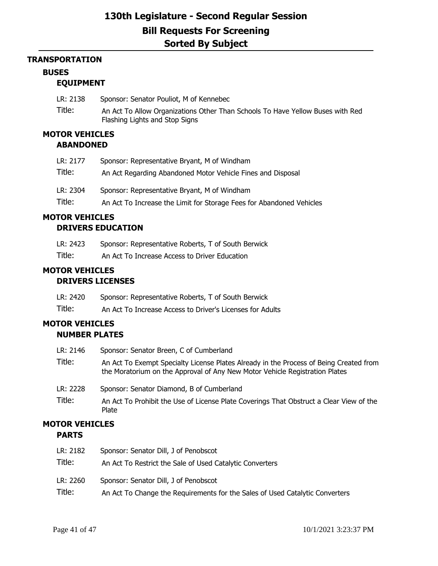### **TRANSPORTATION**

### **BUSES**

### **EQUIPMENT**

- LR: 2138 Sponsor: Senator Pouliot, M of Kennebec
- Title: An Act To Allow Organizations Other Than Schools To Have Yellow Buses with Red Flashing Lights and Stop Signs

## **MOTOR VEHICLES**

## **ABANDONED**

| LR: 2177 | Sponsor: Representative Bryant, M of Windham                         |
|----------|----------------------------------------------------------------------|
| Title:   | An Act Regarding Abandoned Motor Vehicle Fines and Disposal          |
| LR: 2304 | Sponsor: Representative Bryant, M of Windham                         |
| Title:   | An Act To Increase the Limit for Storage Fees for Abandoned Vehicles |

### **MOTOR VEHICLES**

### **DRIVERS EDUCATION**

| LR: 2423 | Sponsor: Representative Roberts, T of South Berwick |
|----------|-----------------------------------------------------|
| Title:   | An Act To Increase Access to Driver Education       |

## **MOTOR VEHICLES DRIVERS LICENSES**

| LR: 2420 | Sponsor: Representative Roberts, T of South Berwick       |
|----------|-----------------------------------------------------------|
| Title:   | An Act To Increase Access to Driver's Licenses for Adults |

### **MOTOR VEHICLES NUMBER PLATES**

| LR: 2146<br>Title:    | Sponsor: Senator Breen, C of Cumberland<br>An Act To Exempt Specialty License Plates Already in the Process of Being Created from<br>the Moratorium on the Approval of Any New Motor Vehicle Registration Plates |
|-----------------------|------------------------------------------------------------------------------------------------------------------------------------------------------------------------------------------------------------------|
| LR: 2228              | Sponsor: Senator Diamond, B of Cumberland                                                                                                                                                                        |
| Title:                | An Act To Prohibit the Use of License Plate Coverings That Obstruct a Clear View of the<br>Plate                                                                                                                 |
| <b>MOTOR VEHICLES</b> |                                                                                                                                                                                                                  |

### **PARTS**

| LR: 2182 | Sponsor: Senator Dill, J of Penobscot                                        |
|----------|------------------------------------------------------------------------------|
| Title:   | An Act To Restrict the Sale of Used Catalytic Converters                     |
| LR: 2260 | Sponsor: Senator Dill, J of Penobscot                                        |
| Title:   | An Act To Change the Requirements for the Sales of Used Catalytic Converters |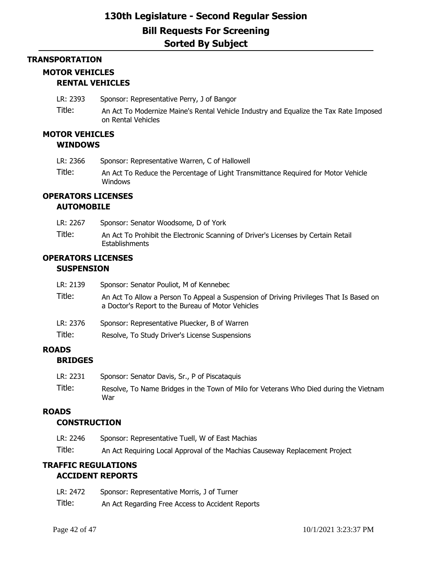## **TRANSPORTATION MOTOR VEHICLES RENTAL VEHICLES**

- LR: 2393 Sponsor: Representative Perry, J of Bangor
- Title: An Act To Modernize Maine's Rental Vehicle Industry and Equalize the Tax Rate Imposed on Rental Vehicles

### **MOTOR VEHICLES WINDOWS**

- LR: 2366 Sponsor: Representative Warren, C of Hallowell
- Title: An Act To Reduce the Percentage of Light Transmittance Required for Motor Vehicle Windows

## **OPERATORS LICENSES**

### **AUTOMOBILE**

| LR: 2267 | Sponsor: Senator Woodsome, D of York                                                                |
|----------|-----------------------------------------------------------------------------------------------------|
| Title:   | An Act To Prohibit the Electronic Scanning of Driver's Licenses by Certain Retail<br>Establishments |

## **OPERATORS LICENSES SUSPENSION**

| LR: 2139 | Sponsor: Senator Pouliot, M of Kennebec                                                                                                     |
|----------|---------------------------------------------------------------------------------------------------------------------------------------------|
| Title:   | An Act To Allow a Person To Appeal a Suspension of Driving Privileges That Is Based on<br>a Doctor's Report to the Bureau of Motor Vehicles |
| LR: 2376 | Sponsor: Representative Pluecker, B of Warren                                                                                               |
| Title:   | Resolve, To Study Driver's License Suspensions                                                                                              |

## **ROADS**

## **BRIDGES**

LR: 2231 Sponsor: Senator Davis, Sr., P of Piscataquis Title: Resolve, To Name Bridges in the Town of Milo for Veterans Who Died during the Vietnam War

### **ROADS**

### **CONSTRUCTION**

| LR: 2246 | Sponsor: Representative Tuell, W of East Machias                            |
|----------|-----------------------------------------------------------------------------|
| Title:   | An Act Requiring Local Approval of the Machias Causeway Replacement Project |

### **TRAFFIC REGULATIONS ACCIDENT REPORTS**

| LR: 2472 | Sponsor: Representative Morris, J of Turner      |
|----------|--------------------------------------------------|
| Title:   | An Act Regarding Free Access to Accident Reports |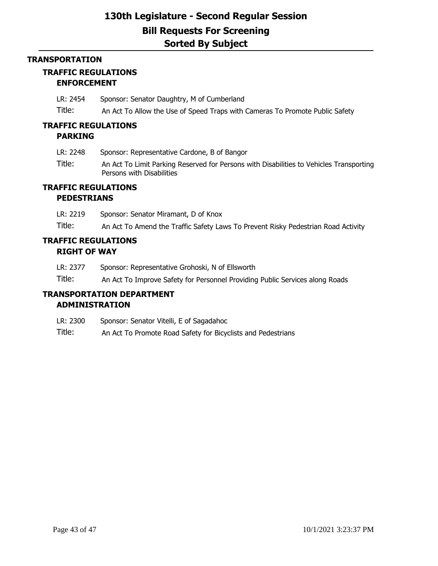#### **TRANSPORTATION**

# **TRAFFIC REGULATIONS**

## **ENFORCEMENT**

LR: 2454 Sponsor: Senator Daughtry, M of Cumberland

Title: An Act To Allow the Use of Speed Traps with Cameras To Promote Public Safety

### **TRAFFIC REGULATIONS PARKING**

- LR: 2248 Sponsor: Representative Cardone, B of Bangor
- Title: An Act To Limit Parking Reserved for Persons with Disabilities to Vehicles Transporting Persons with Disabilities

### **TRAFFIC REGULATIONS PEDESTRIANS**

LR: 2219 Sponsor: Senator Miramant, D of Knox Title: An Act To Amend the Traffic Safety Laws To Prevent Risky Pedestrian Road Activity

## **TRAFFIC REGULATIONS RIGHT OF WAY**

- LR: 2377 Sponsor: Representative Grohoski, N of Ellsworth
- Title: An Act To Improve Safety for Personnel Providing Public Services along Roads

### **TRANSPORTATION DEPARTMENT ADMINISTRATION**

- LR: 2300 Sponsor: Senator Vitelli, E of Sagadahoc
- Title: An Act To Promote Road Safety for Bicyclists and Pedestrians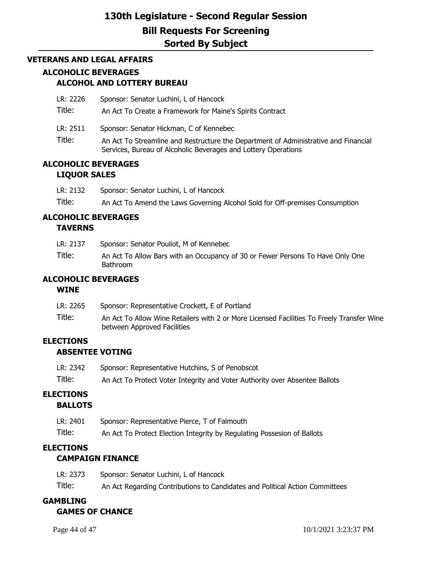### **VETERANS AND LEGAL AFFAIRS**

## **ALCOHOLIC BEVERAGES ALCOHOL AND LOTTERY BUREAU**

LR: 2226 Sponsor: Senator Luchini, L of Hancock

Title: An Act To Create a Framework for Maine's Spirits Contract

LR: 2511 Sponsor: Senator Hickman, C of Kennebec

Title: An Act To Streamline and Restructure the Department of Administrative and Financial Services, Bureau of Alcoholic Beverages and Lottery Operations

### **ALCOHOLIC BEVERAGES LIQUOR SALES**

LR: 2132 Sponsor: Senator Luchini, L of Hancock Title: An Act To Amend the Laws Governing Alcohol Sold for Off-premises Consumption

## **ALCOHOLIC BEVERAGES**

### **TAVERNS**

| LR: 2137 | Sponsor: Senator Pouliot, M of Kennebec                                                           |
|----------|---------------------------------------------------------------------------------------------------|
| Title:   | An Act To Allow Bars with an Occupancy of 30 or Fewer Persons To Have Only One<br><b>Bathroom</b> |

### **ALCOHOLIC BEVERAGES**

#### **WINE**

| LR: 2265 | Sponsor: Representative Crockett, E of Portland                                                                          |
|----------|--------------------------------------------------------------------------------------------------------------------------|
| Title:   | An Act To Allow Wine Retailers with 2 or More Licensed Facilities To Freely Transfer Wine<br>between Approved Facilities |

#### **ELECTIONS ABSENTEE VOTING**

| LR: 2342 | Sponsor: Representative Hutchins, S of Penobscot                            |
|----------|-----------------------------------------------------------------------------|
| Title:   | An Act To Protect Voter Integrity and Voter Authority over Absentee Ballots |

# **ELECTIONS**

**BALLOTS**

| LR: 2401 | Sponsor: Representative Pierce, T of Falmouth                           |
|----------|-------------------------------------------------------------------------|
| Title:   | An Act To Protect Election Integrity by Regulating Possesion of Ballots |

## **ELECTIONS**

### **CAMPAIGN FINANCE**

| LR: 2373 | Sponsor: Senator Luchini, L of Hancock                                       |
|----------|------------------------------------------------------------------------------|
| Title:   | An Act Regarding Contributions to Candidates and Political Action Committees |

## **GAMBLING GAMES OF CHANCE**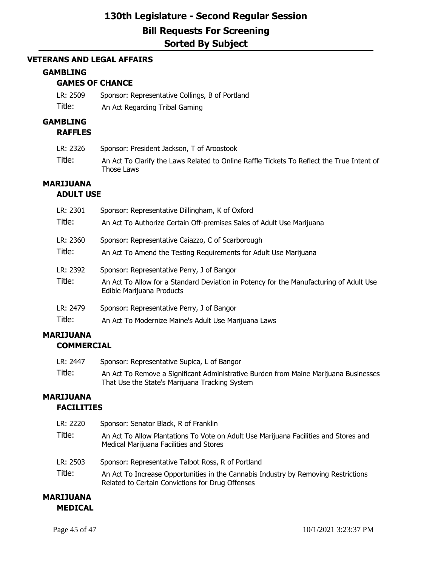### **VETERANS AND LEGAL AFFAIRS**

### **GAMBLING**

## **GAMES OF CHANCE**

LR: 2509 Sponsor: Representative Collings, B of Portland Title: An Act Regarding Tribal Gaming

### **GAMBLING**

#### **RAFFLES**

| LR: 2326 | Sponsor: President Jackson, T of Aroostook                                                              |
|----------|---------------------------------------------------------------------------------------------------------|
| Title:   | An Act To Clarify the Laws Related to Online Raffle Tickets To Reflect the True Intent of<br>Those Laws |

### **MARIJUANA**

### **ADULT USE**

| LR: 2301           | Sponsor: Representative Dillingham, K of Oxford                                                                                                                   |
|--------------------|-------------------------------------------------------------------------------------------------------------------------------------------------------------------|
| Title:             | An Act To Authorize Certain Off-premises Sales of Adult Use Marijuana                                                                                             |
| LR: 2360           | Sponsor: Representative Caiazzo, C of Scarborough                                                                                                                 |
| Title:             | An Act To Amend the Testing Requirements for Adult Use Marijuana                                                                                                  |
| LR: 2392<br>Title: | Sponsor: Representative Perry, J of Bangor<br>An Act To Allow for a Standard Deviation in Potency for the Manufacturing of Adult Use<br>Edible Marijuana Products |
| LR: 2479           | Sponsor: Representative Perry, J of Bangor                                                                                                                        |
| Title:             | An Act To Modernize Maine's Adult Use Marijuana Laws                                                                                                              |

## **MARIJUANA COMMERCIAL**

| LR: 2447 | Sponsor: Representative Supica, L of Bangor                                                                                            |
|----------|----------------------------------------------------------------------------------------------------------------------------------------|
| Title:   | An Act To Remove a Significant Administrative Burden from Maine Marijuana Businesses<br>That Use the State's Marijuana Tracking System |

### **MARIJUANA FACILITIES**

| LR: 2220<br>Title: | Sponsor: Senator Black, R of Franklin<br>An Act To Allow Plantations To Vote on Adult Use Marijuana Facilities and Stores and<br>Medical Marijuana Facilities and Stores                     |
|--------------------|----------------------------------------------------------------------------------------------------------------------------------------------------------------------------------------------|
| LR: 2503<br>Title: | Sponsor: Representative Talbot Ross, R of Portland<br>An Act To Increase Opportunities in the Cannabis Industry by Removing Restrictions<br>Related to Certain Convictions for Drug Offenses |

## **MARIJUANA MEDICAL**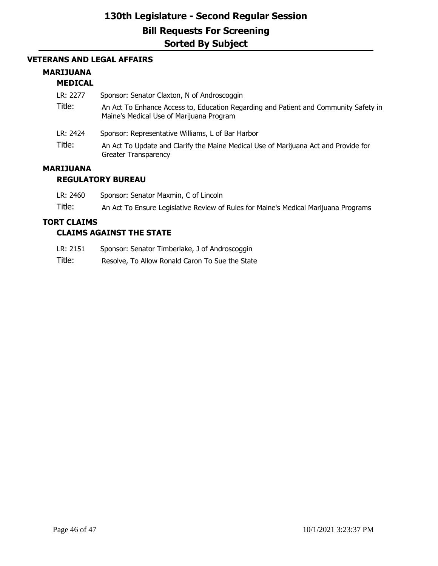### **VETERANS AND LEGAL AFFAIRS**

## **MARIJUANA**

## **MEDICAL**

| LR: 2277           | Sponsor: Senator Claxton, N of Androscoggin                                                                                      |
|--------------------|----------------------------------------------------------------------------------------------------------------------------------|
| Title:             | An Act To Enhance Access to, Education Regarding and Patient and Community Safety in<br>Maine's Medical Use of Marijuana Program |
| LR: 2424<br>Title: | Sponsor: Representative Williams, L of Bar Harbor                                                                                |
|                    | An Act To Update and Clarify the Maine Medical Use of Marijuana Act and Provide for<br><b>Greater Transparency</b>               |

#### **MARIJUANA REGULATORY BUREAU**

| LR: 2460 | Sponsor: Senator Maxmin, C of Lincoln |
|----------|---------------------------------------|
|          |                                       |

Title: An Act To Ensure Legislative Review of Rules for Maine's Medical Marijuana Programs

## **TORT CLAIMS**

## **CLAIMS AGAINST THE STATE**

- LR: 2151 Sponsor: Senator Timberlake, J of Androscoggin
- Title: Resolve, To Allow Ronald Caron To Sue the State